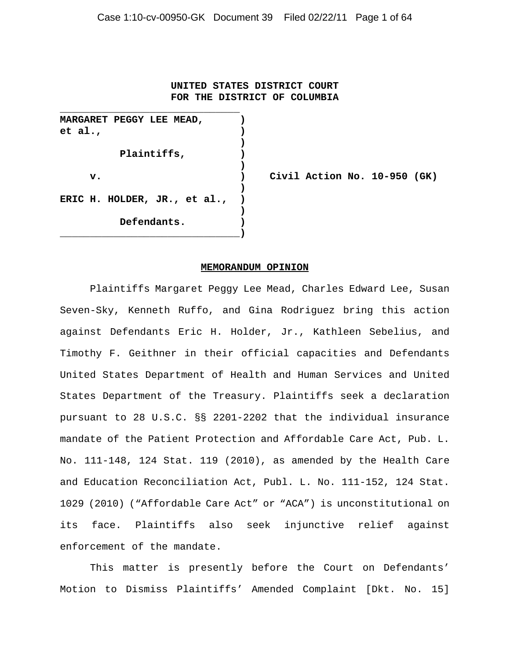#### **UNITED STATES DISTRICT COURT FOR THE DISTRICT OF COLUMBIA**

**MARGARET PEGGY LEE MEAD, ) et al., ) ) Plaintiffs, ) ) ) ERIC H. HOLDER, JR., et al., ) ) Defendants. ) \_\_\_\_\_\_\_\_\_\_\_\_\_\_\_\_\_\_\_\_\_\_\_\_\_\_\_\_\_\_)**

**\_\_\_\_\_\_\_\_\_\_\_\_\_\_\_\_\_\_\_\_\_\_\_\_\_\_\_\_\_\_**

**v. ) Civil Action No. 10-950 (GK)**

#### **MEMORANDUM OPINION**

Plaintiffs Margaret Peggy Lee Mead, Charles Edward Lee, Susan Seven-Sky, Kenneth Ruffo, and Gina Rodriguez bring this action against Defendants Eric H. Holder, Jr., Kathleen Sebelius, and Timothy F. Geithner in their official capacities and Defendants United States Department of Health and Human Services and United States Department of the Treasury. Plaintiffs seek a declaration pursuant to 28 U.S.C. §§ 2201-2202 that the individual insurance mandate of the Patient Protection and Affordable Care Act, Pub. L. No. 111-148, 124 Stat. 119 (2010), as amended by the Health Care and Education Reconciliation Act, Publ. L. No. 111-152, 124 Stat. 1029 (2010) ("Affordable Care Act" or "ACA") is unconstitutional on its face. Plaintiffs also seek injunctive relief against enforcement of the mandate.

This matter is presently before the Court on Defendants' Motion to Dismiss Plaintiffs' Amended Complaint [Dkt. No. 15]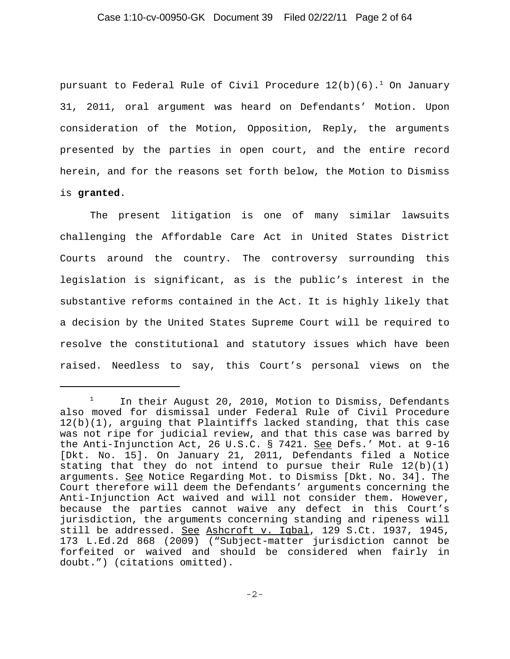## Case 1:10-cv-00950-GK Document 39 Filed 02/22/11 Page 2 of 64

pursuant to Federal Rule of Civil Procedure  $12(b)(6)$ .<sup>1</sup> On January 31, 2011, oral argument was heard on Defendants' Motion. Upon consideration of the Motion, Opposition, Reply, the arguments presented by the parties in open court, and the entire record herein, and for the reasons set forth below, the Motion to Dismiss is **granted**.

The present litigation is one of many similar lawsuits challenging the Affordable Care Act in United States District Courts around the country. The controversy surrounding this legislation is significant, as is the public's interest in the substantive reforms contained in the Act. It is highly likely that a decision by the United States Supreme Court will be required to resolve the constitutional and statutory issues which have been raised. Needless to say, this Court's personal views on the

 $1$  In their August 20, 2010, Motion to Dismiss, Defendants also moved for dismissal under Federal Rule of Civil Procedure 12(b)(1), arguing that Plaintiffs lacked standing, that this case was not ripe for judicial review, and that this case was barred by the Anti-Injunction Act, 26 U.S.C. § 7421. See Defs.' Mot. at 9-16 [Dkt. No. 15]. On January 21, 2011, Defendants filed a Notice stating that they do not intend to pursue their Rule 12(b)(1) arguments. See Notice Regarding Mot. to Dismiss [Dkt. No. 34]. The Court therefore will deem the Defendants' arguments concerning the Anti-Injunction Act waived and will not consider them. However, because the parties cannot waive any defect in this Court's jurisdiction, the arguments concerning standing and ripeness will still be addressed. See Ashcroft v. Iqbal, 129 S.Ct. 1937, 1945, 173 L.Ed.2d 868 (2009) ("Subject-matter jurisdiction cannot be forfeited or waived and should be considered when fairly in doubt.") (citations omitted).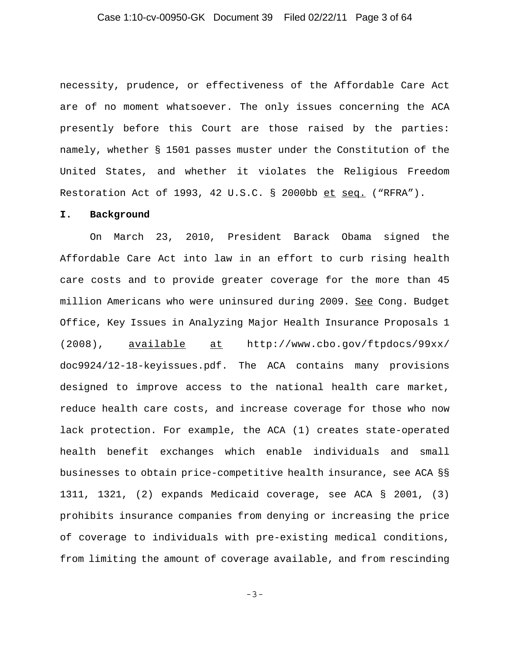### Case 1:10-cv-00950-GK Document 39 Filed 02/22/11 Page 3 of 64

necessity, prudence, or effectiveness of the Affordable Care Act are of no moment whatsoever. The only issues concerning the ACA presently before this Court are those raised by the parties: namely, whether § 1501 passes muster under the Constitution of the United States, and whether it violates the Religious Freedom Restoration Act of 1993, 42 U.S.C. § 2000bb et seq. ("RFRA").

#### **I. Background**

On March 23, 2010, President Barack Obama signed the Affordable Care Act into law in an effort to curb rising health care costs and to provide greater coverage for the more than 45 million Americans who were uninsured during 2009. See Cong. Budget Office, Key Issues in Analyzing Major Health Insurance Proposals 1 (2008), available at http://www.cbo.gov/ftpdocs/99xx/ doc9924/12-18-keyissues.pdf. The ACA contains many provisions designed to improve access to the national health care market, reduce health care costs, and increase coverage for those who now lack protection. For example, the ACA (1) creates state-operated health benefit exchanges which enable individuals and small businesses to obtain price-competitive health insurance, see ACA §§ 1311, 1321, (2) expands Medicaid coverage, see ACA § 2001, (3) prohibits insurance companies from denying or increasing the price of coverage to individuals with pre-existing medical conditions, from limiting the amount of coverage available, and from rescinding

-3-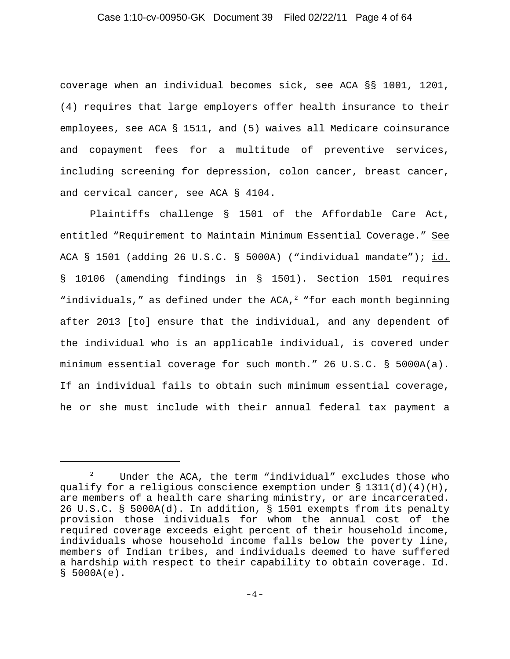## Case 1:10-cv-00950-GK Document 39 Filed 02/22/11 Page 4 of 64

coverage when an individual becomes sick, see ACA §§ 1001, 1201, (4) requires that large employers offer health insurance to their employees, see ACA § 1511, and (5) waives all Medicare coinsurance and copayment fees for a multitude of preventive services, including screening for depression, colon cancer, breast cancer, and cervical cancer, see ACA § 4104.

Plaintiffs challenge § 1501 of the Affordable Care Act, entitled "Requirement to Maintain Minimum Essential Coverage." See ACA § 1501 (adding 26 U.S.C. § 5000A) ("individual mandate"); id. § 10106 (amending findings in § 1501). Section 1501 requires "individuals," as defined under the ACA, $^2$  "for each month beginning after 2013 [to] ensure that the individual, and any dependent of the individual who is an applicable individual, is covered under minimum essential coverage for such month." 26 U.S.C. § 5000A(a). If an individual fails to obtain such minimum essential coverage, he or she must include with their annual federal tax payment a

Under the ACA, the term "individual" excludes those who qualify for a religious conscience exemption under  $\S 1311(d)(4)(H)$ , are members of a health care sharing ministry, or are incarcerated. 26 U.S.C. § 5000A(d). In addition, § 1501 exempts from its penalty provision those individuals for whom the annual cost of the required coverage exceeds eight percent of their household income, individuals whose household income falls below the poverty line, members of Indian tribes, and individuals deemed to have suffered a hardship with respect to their capability to obtain coverage. Id.  $$5000A(e)$ .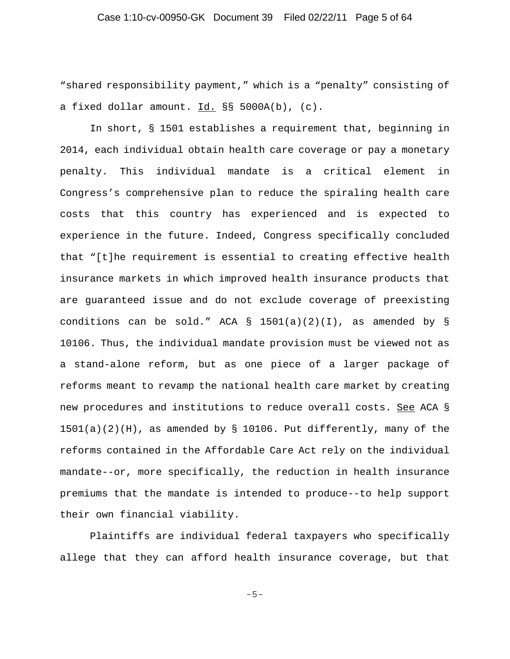"shared responsibility payment," which is a "penalty" consisting of a fixed dollar amount. Id. §§ 5000A(b), (c).

In short, § 1501 establishes a requirement that, beginning in 2014, each individual obtain health care coverage or pay a monetary penalty. This individual mandate is a critical element in Congress's comprehensive plan to reduce the spiraling health care costs that this country has experienced and is expected to experience in the future. Indeed, Congress specifically concluded that "[t]he requirement is essential to creating effective health insurance markets in which improved health insurance products that are guaranteed issue and do not exclude coverage of preexisting conditions can be sold." ACA § 1501(a)(2)(I), as amended by § 10106. Thus, the individual mandate provision must be viewed not as a stand-alone reform, but as one piece of a larger package of reforms meant to revamp the national health care market by creating new procedures and institutions to reduce overall costs. See ACA § 1501(a)(2)(H), as amended by § 10106. Put differently, many of the reforms contained in the Affordable Care Act rely on the individual mandate--or, more specifically, the reduction in health insurance premiums that the mandate is intended to produce--to help support their own financial viability.

Plaintiffs are individual federal taxpayers who specifically allege that they can afford health insurance coverage, but that

-5-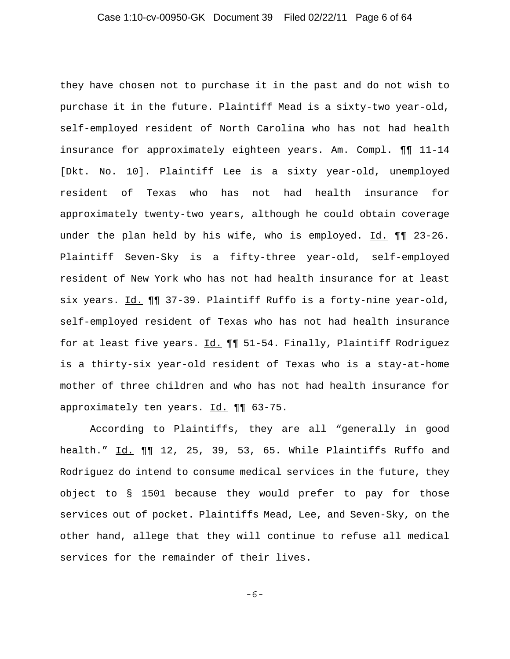they have chosen not to purchase it in the past and do not wish to purchase it in the future. Plaintiff Mead is a sixty-two year-old, self-employed resident of North Carolina who has not had health insurance for approximately eighteen years. Am. Compl. ¶¶ 11-14 [Dkt. No. 10]. Plaintiff Lee is a sixty year-old, unemployed resident of Texas who has not had health insurance for approximately twenty-two years, although he could obtain coverage under the plan held by his wife, who is employed. Id.  $\P\P$  23-26. Plaintiff Seven-Sky is a fifty-three year-old, self-employed resident of New York who has not had health insurance for at least six years. Id. ¶¶ 37-39. Plaintiff Ruffo is a forty-nine year-old, self-employed resident of Texas who has not had health insurance for at least five years. Id.  $\P\P$  51-54. Finally, Plaintiff Rodriguez is a thirty-six year-old resident of Texas who is a stay-at-home mother of three children and who has not had health insurance for approximately ten years. Id. ¶¶ 63-75.

According to Plaintiffs, they are all "generally in good health." Id. ¶¶ 12, 25, 39, 53, 65. While Plaintiffs Ruffo and Rodriguez do intend to consume medical services in the future, they object to § 1501 because they would prefer to pay for those services out of pocket. Plaintiffs Mead, Lee, and Seven-Sky, on the other hand, allege that they will continue to refuse all medical services for the remainder of their lives.

-6-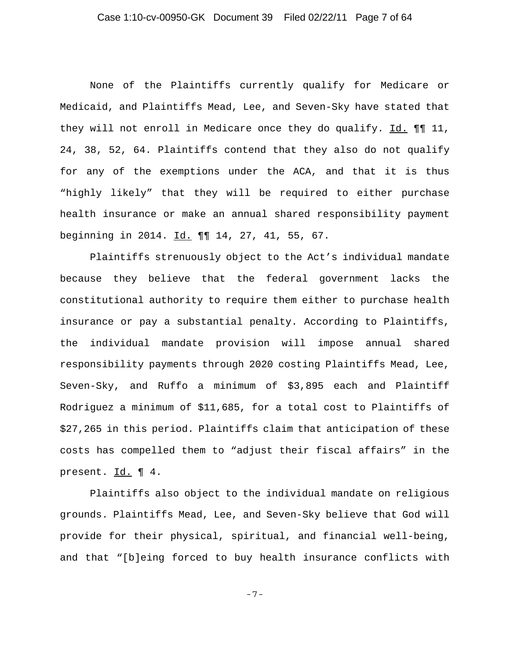### Case 1:10-cv-00950-GK Document 39 Filed 02/22/11 Page 7 of 64

None of the Plaintiffs currently qualify for Medicare or Medicaid, and Plaintiffs Mead, Lee, and Seven-Sky have stated that they will not enroll in Medicare once they do qualify. Id. ¶¶ 11, 24, 38, 52, 64. Plaintiffs contend that they also do not qualify for any of the exemptions under the ACA, and that it is thus "highly likely" that they will be required to either purchase health insurance or make an annual shared responsibility payment beginning in 2014. Id. 11 14, 27, 41, 55, 67.

Plaintiffs strenuously object to the Act's individual mandate because they believe that the federal government lacks the constitutional authority to require them either to purchase health insurance or pay a substantial penalty. According to Plaintiffs, the individual mandate provision will impose annual shared responsibility payments through 2020 costing Plaintiffs Mead, Lee, Seven-Sky, and Ruffo a minimum of \$3,895 each and Plaintiff Rodriguez a minimum of \$11,685, for a total cost to Plaintiffs of \$27,265 in this period. Plaintiffs claim that anticipation of these costs has compelled them to "adjust their fiscal affairs" in the present. Id. 14.

Plaintiffs also object to the individual mandate on religious grounds. Plaintiffs Mead, Lee, and Seven-Sky believe that God will provide for their physical, spiritual, and financial well-being, and that "[b]eing forced to buy health insurance conflicts with

-7-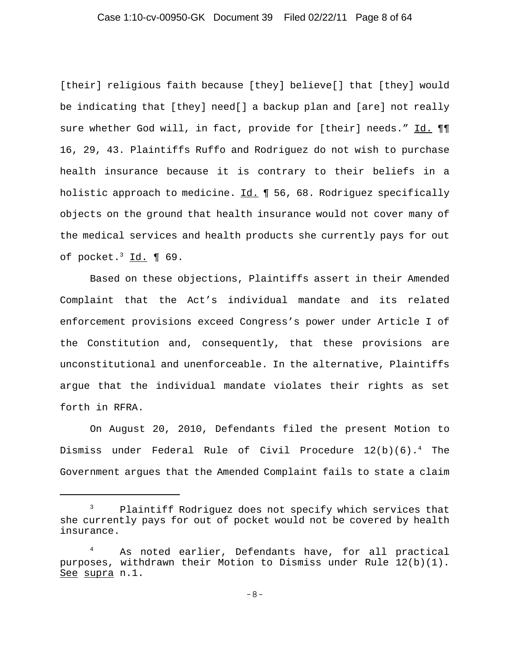## Case 1:10-cv-00950-GK Document 39 Filed 02/22/11 Page 8 of 64

[their] religious faith because [they] believe[] that [they] would be indicating that [they] need[] a backup plan and [are] not really sure whether God will, in fact, provide for [their] needs." Id. ¶¶ 16, 29, 43. Plaintiffs Ruffo and Rodriguez do not wish to purchase health insurance because it is contrary to their beliefs in a holistic approach to medicine. Id. ¶ 56, 68. Rodriguez specifically objects on the ground that health insurance would not cover many of the medical services and health products she currently pays for out of pocket. $3$   $Id.$  ¶ 69.

Based on these objections, Plaintiffs assert in their Amended Complaint that the Act's individual mandate and its related enforcement provisions exceed Congress's power under Article I of the Constitution and, consequently, that these provisions are unconstitutional and unenforceable. In the alternative, Plaintiffs argue that the individual mandate violates their rights as set forth in RFRA.

On August 20, 2010, Defendants filed the present Motion to Dismiss under Federal Rule of Civil Procedure  $12(b)(6)$ .<sup>4</sup> The Government argues that the Amended Complaint fails to state a claim

<sup>&</sup>lt;sup>3</sup> Plaintiff Rodriguez does not specify which services that she currently pays for out of pocket would not be covered by health insurance.

<sup>4</sup> As noted earlier, Defendants have, for all practical purposes, withdrawn their Motion to Dismiss under Rule 12(b)(1). See supra n.1.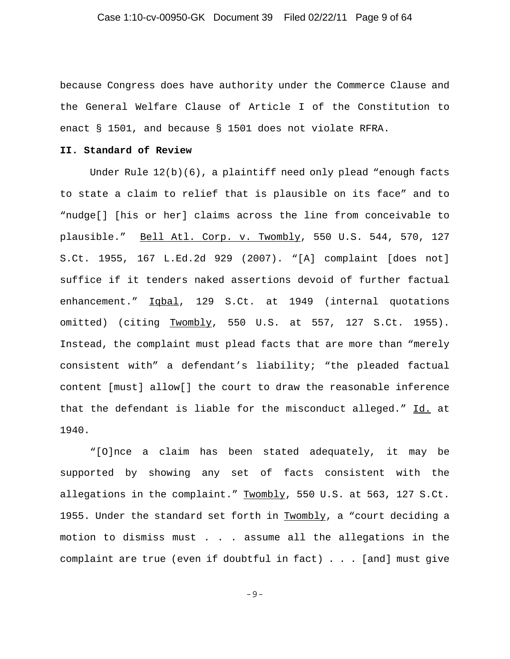because Congress does have authority under the Commerce Clause and the General Welfare Clause of Article I of the Constitution to enact § 1501, and because § 1501 does not violate RFRA.

#### **II. Standard of Review**

Under Rule 12(b)(6), a plaintiff need only plead "enough facts to state a claim to relief that is plausible on its face" and to "nudge[] [his or her] claims across the line from conceivable to plausible." Bell Atl. Corp. v. Twombly, 550 U.S. 544, 570, 127 S.Ct. 1955, 167 L.Ed.2d 929 (2007). "[A] complaint [does not] suffice if it tenders naked assertions devoid of further factual enhancement." Iqbal, 129 S.Ct. at 1949 (internal quotations omitted) (citing Twombly, 550 U.S. at 557, 127 S.Ct. 1955). Instead, the complaint must plead facts that are more than "merely consistent with" a defendant's liability; "the pleaded factual content [must] allow[] the court to draw the reasonable inference that the defendant is liable for the misconduct alleged." Id. at 1940.

"[O]nce a claim has been stated adequately, it may be supported by showing any set of facts consistent with the allegations in the complaint." Twombly, 550 U.S. at 563, 127 S.Ct. 1955. Under the standard set forth in Twombly, a "court deciding a motion to dismiss must . . . assume all the allegations in the complaint are true (even if doubtful in fact) . . . [and] must give

-9-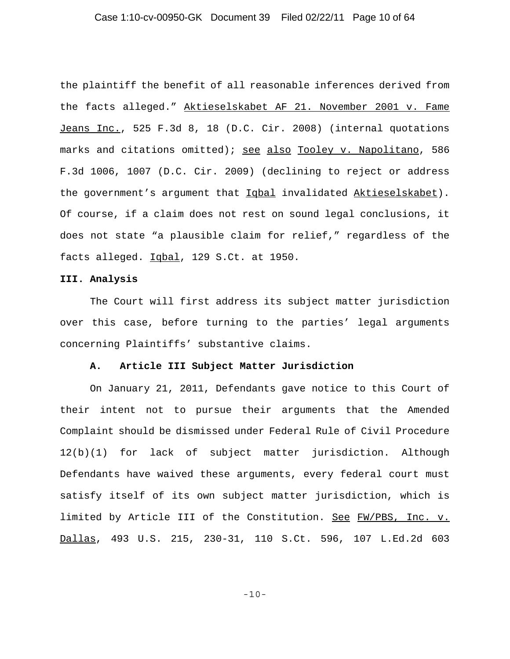### Case 1:10-cv-00950-GK Document 39 Filed 02/22/11 Page 10 of 64

the plaintiff the benefit of all reasonable inferences derived from the facts alleged." Aktieselskabet AF 21. November 2001 v. Fame Jeans Inc., 525 F.3d 8, 18 (D.C. Cir. 2008) (internal quotations marks and citations omitted); see also Tooley v. Napolitano, 586 F.3d 1006, 1007 (D.C. Cir. 2009) (declining to reject or address the government's argument that Iqbal invalidated Aktieselskabet). Of course, if a claim does not rest on sound legal conclusions, it does not state "a plausible claim for relief," regardless of the facts alleged. Iqbal, 129 S.Ct. at 1950.

#### **III. Analysis**

The Court will first address its subject matter jurisdiction over this case, before turning to the parties' legal arguments concerning Plaintiffs' substantive claims.

#### **A. Article III Subject Matter Jurisdiction**

On January 21, 2011, Defendants gave notice to this Court of their intent not to pursue their arguments that the Amended Complaint should be dismissed under Federal Rule of Civil Procedure 12(b)(1) for lack of subject matter jurisdiction. Although Defendants have waived these arguments, every federal court must satisfy itself of its own subject matter jurisdiction, which is limited by Article III of the Constitution. See FW/PBS, Inc. v. Dallas, 493 U.S. 215, 230-31, 110 S.Ct. 596, 107 L.Ed.2d 603

-10-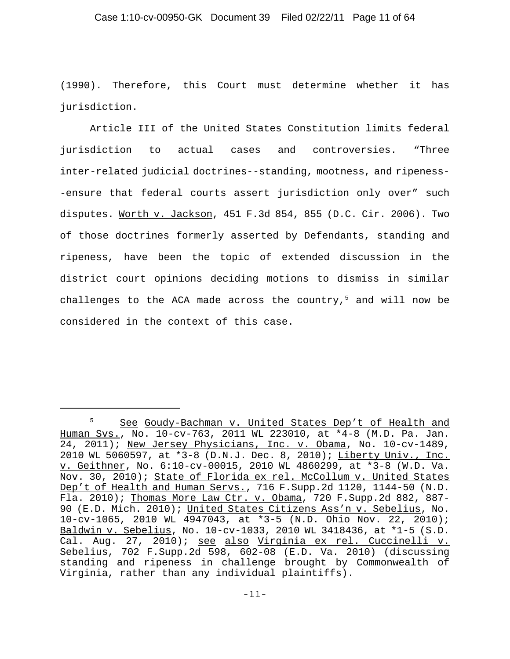(1990). Therefore, this Court must determine whether it has jurisdiction.

Article III of the United States Constitution limits federal jurisdiction to actual cases and controversies. "Three inter-related judicial doctrines--standing, mootness, and ripeness- -ensure that federal courts assert jurisdiction only over" such disputes. Worth v. Jackson, 451 F.3d 854, 855 (D.C. Cir. 2006). Two of those doctrines formerly asserted by Defendants, standing and ripeness, have been the topic of extended discussion in the district court opinions deciding motions to dismiss in similar challenges to the ACA made across the country, $5$  and will now be considered in the context of this case.

<sup>5</sup> See Goudy-Bachman v. United States Dep't of Health and Human Svs., No. 10-cv-763, 2011 WL 223010, at \*4-8 (M.D. Pa. Jan. 24, 2011); New Jersey Physicians, Inc. v. Obama, No. 10-cv-1489, 2010 WL 5060597, at \*3-8 (D.N.J. Dec. 8, 2010); Liberty Univ., Inc. v. Geithner, No. 6:10-cv-00015, 2010 WL 4860299, at \*3-8 (W.D. Va. Nov. 30, 2010); State of Florida ex rel. McCollum v. United States Dep't of Health and Human Servs., 716 F.Supp.2d 1120, 1144-50 (N.D. Fla. 2010); Thomas More Law Ctr. v. Obama, 720 F.Supp.2d 882, 887- 90 (E.D. Mich. 2010); United States Citizens Ass'n v. Sebelius, No. 10-cv-1065, 2010 WL 4947043, at \*3-5 (N.D. Ohio Nov. 22, 2010); Baldwin v. Sebelius, No. 10-cv-1033, 2010 WL 3418436, at \*1-5 (S.D. Cal. Aug. 27, 2010); see also Virginia ex rel. Cuccinelli v. Sebelius, 702 F.Supp.2d 598, 602-08 (E.D. Va. 2010) (discussing standing and ripeness in challenge brought by Commonwealth of Virginia, rather than any individual plaintiffs).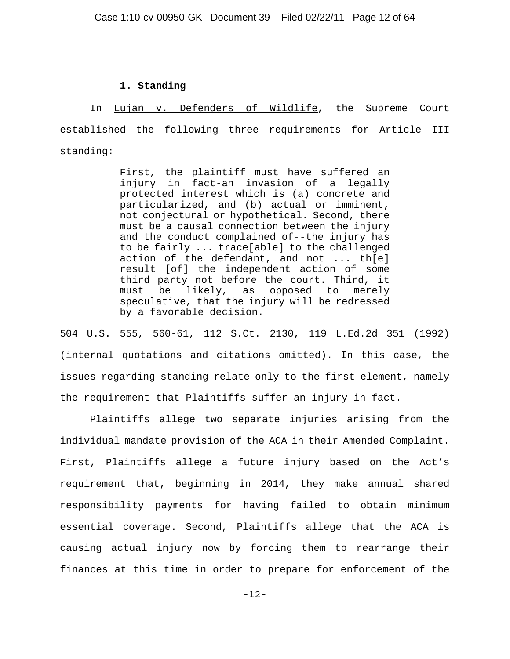#### **1. Standing**

In Lujan v. Defenders of Wildlife, the Supreme Court established the following three requirements for Article III standing:

> First, the plaintiff must have suffered an injury in fact-an invasion of a legally protected interest which is (a) concrete and particularized, and (b) actual or imminent, not conjectural or hypothetical. Second, there must be a causal connection between the injury and the conduct complained of--the injury has to be fairly ... trace[able] to the challenged action of the defendant, and not ... th[e] result [of] the independent action of some third party not before the court. Third, it must be likely, as opposed to merely speculative, that the injury will be redressed by a favorable decision.

504 U.S. 555, 560-61, 112 S.Ct. 2130, 119 L.Ed.2d 351 (1992) (internal quotations and citations omitted). In this case, the issues regarding standing relate only to the first element, namely the requirement that Plaintiffs suffer an injury in fact.

Plaintiffs allege two separate injuries arising from the individual mandate provision of the ACA in their Amended Complaint. First, Plaintiffs allege a future injury based on the Act's requirement that, beginning in 2014, they make annual shared responsibility payments for having failed to obtain minimum essential coverage. Second, Plaintiffs allege that the ACA is causing actual injury now by forcing them to rearrange their finances at this time in order to prepare for enforcement of the

-12-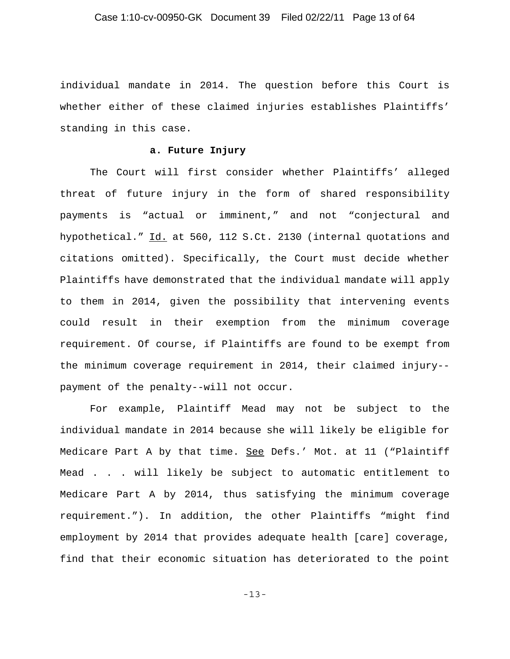individual mandate in 2014. The question before this Court is whether either of these claimed injuries establishes Plaintiffs' standing in this case.

### **a. Future Injury**

The Court will first consider whether Plaintiffs' alleged threat of future injury in the form of shared responsibility payments is "actual or imminent," and not "conjectural and hypothetical." Id. at 560, 112 S.Ct. 2130 (internal quotations and citations omitted). Specifically, the Court must decide whether Plaintiffs have demonstrated that the individual mandate will apply to them in 2014, given the possibility that intervening events could result in their exemption from the minimum coverage requirement. Of course, if Plaintiffs are found to be exempt from the minimum coverage requirement in 2014, their claimed injury- payment of the penalty--will not occur.

For example, Plaintiff Mead may not be subject to the individual mandate in 2014 because she will likely be eligible for Medicare Part A by that time. See Defs.' Mot. at 11 ("Plaintiff Mead . . . will likely be subject to automatic entitlement to Medicare Part A by 2014, thus satisfying the minimum coverage requirement."). In addition, the other Plaintiffs "might find employment by 2014 that provides adequate health [care] coverage, find that their economic situation has deteriorated to the point

-13-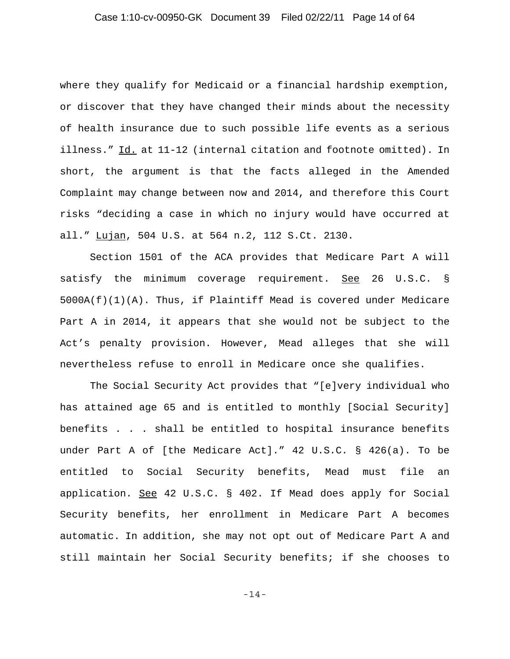### Case 1:10-cv-00950-GK Document 39 Filed 02/22/11 Page 14 of 64

where they qualify for Medicaid or a financial hardship exemption, or discover that they have changed their minds about the necessity of health insurance due to such possible life events as a serious illness." Id. at 11-12 (internal citation and footnote omitted). In short, the argument is that the facts alleged in the Amended Complaint may change between now and 2014, and therefore this Court risks "deciding a case in which no injury would have occurred at all." Lujan, 504 U.S. at 564 n.2, 112 S.Ct. 2130.

Section 1501 of the ACA provides that Medicare Part A will satisfy the minimum coverage requirement. See 26 U.S.C. §  $5000A(f)(1)(A)$ . Thus, if Plaintiff Mead is covered under Medicare Part A in 2014, it appears that she would not be subject to the Act's penalty provision. However, Mead alleges that she will nevertheless refuse to enroll in Medicare once she qualifies.

The Social Security Act provides that "[e]very individual who has attained age 65 and is entitled to monthly [Social Security] benefits . . . shall be entitled to hospital insurance benefits under Part A of [the Medicare Act]." 42 U.S.C. § 426(a). To be entitled to Social Security benefits, Mead must file an application. See 42 U.S.C. § 402. If Mead does apply for Social Security benefits, her enrollment in Medicare Part A becomes automatic. In addition, she may not opt out of Medicare Part A and still maintain her Social Security benefits; if she chooses to

-14-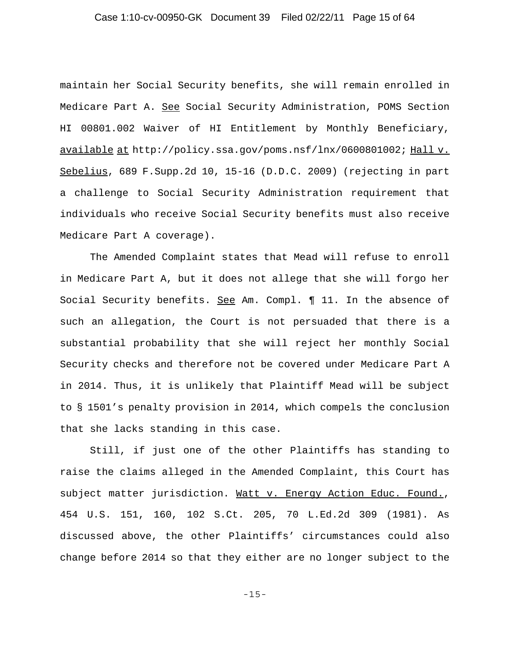### Case 1:10-cv-00950-GK Document 39 Filed 02/22/11 Page 15 of 64

maintain her Social Security benefits, she will remain enrolled in Medicare Part A. See Social Security Administration, POMS Section HI 00801.002 Waiver of HI Entitlement by Monthly Beneficiary, available at http://policy.ssa.gov/poms.nsf/lnx/0600801002; Hall v. Sebelius, 689 F.Supp.2d 10, 15-16 (D.D.C. 2009) (rejecting in part a challenge to Social Security Administration requirement that individuals who receive Social Security benefits must also receive Medicare Part A coverage).

The Amended Complaint states that Mead will refuse to enroll in Medicare Part A, but it does not allege that she will forgo her Social Security benefits. See Am. Compl. ¶ 11. In the absence of such an allegation, the Court is not persuaded that there is a substantial probability that she will reject her monthly Social Security checks and therefore not be covered under Medicare Part A in 2014. Thus, it is unlikely that Plaintiff Mead will be subject to § 1501's penalty provision in 2014, which compels the conclusion that she lacks standing in this case.

Still, if just one of the other Plaintiffs has standing to raise the claims alleged in the Amended Complaint, this Court has subject matter jurisdiction. Watt v. Energy Action Educ. Found., 454 U.S. 151, 160, 102 S.Ct. 205, 70 L.Ed.2d 309 (1981). As discussed above, the other Plaintiffs' circumstances could also change before 2014 so that they either are no longer subject to the

-15-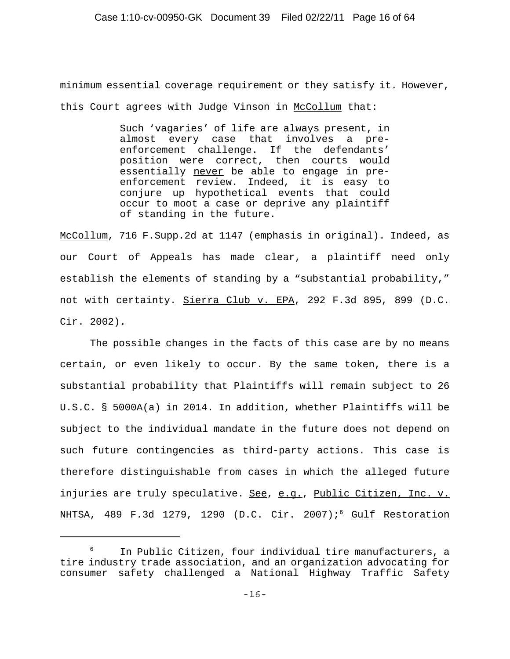minimum essential coverage requirement or they satisfy it. However, this Court agrees with Judge Vinson in McCollum that:

> Such 'vagaries' of life are always present, in almost every case that involves a preenforcement challenge. If the defendants' position were correct, then courts would essentially never be able to engage in preenforcement review. Indeed, it is easy to conjure up hypothetical events that could occur to moot a case or deprive any plaintiff of standing in the future.

McCollum, 716 F.Supp.2d at 1147 (emphasis in original). Indeed, as our Court of Appeals has made clear, a plaintiff need only establish the elements of standing by a "substantial probability," not with certainty. Sierra Club v. EPA, 292 F.3d 895, 899 (D.C. Cir. 2002).

The possible changes in the facts of this case are by no means certain, or even likely to occur. By the same token, there is a substantial probability that Plaintiffs will remain subject to 26 U.S.C. § 5000A(a) in 2014. In addition, whether Plaintiffs will be subject to the individual mandate in the future does not depend on such future contingencies as third-party actions. This case is therefore distinguishable from cases in which the alleged future injuries are truly speculative. See, e.g., Public Citizen, Inc. v. NHTSA, 489 F.3d 1279, 1290 (D.C. Cir. 2007);<sup>6</sup> Gulf Restoration

In Public Citizen, four individual tire manufacturers, a tire industry trade association, and an organization advocating for consumer safety challenged a National Highway Traffic Safety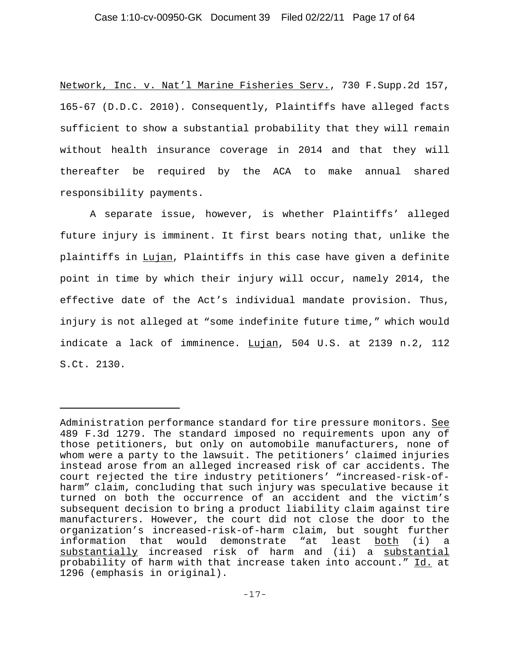Network, Inc. v. Nat'l Marine Fisheries Serv., 730 F.Supp.2d 157, 165-67 (D.D.C. 2010). Consequently, Plaintiffs have alleged facts sufficient to show a substantial probability that they will remain without health insurance coverage in 2014 and that they will thereafter be required by the ACA to make annual shared responsibility payments.

A separate issue, however, is whether Plaintiffs' alleged future injury is imminent. It first bears noting that, unlike the plaintiffs in Lujan, Plaintiffs in this case have given a definite point in time by which their injury will occur, namely 2014, the effective date of the Act's individual mandate provision. Thus, injury is not alleged at "some indefinite future time," which would indicate a lack of imminence. Lujan, 504 U.S. at 2139 n.2, 112 S.Ct. 2130.

Administration performance standard for tire pressure monitors. See 489 F.3d 1279. The standard imposed no requirements upon any of those petitioners, but only on automobile manufacturers, none of whom were a party to the lawsuit. The petitioners' claimed injuries instead arose from an alleged increased risk of car accidents. The court rejected the tire industry petitioners' "increased-risk-ofharm" claim, concluding that such injury was speculative because it turned on both the occurrence of an accident and the victim's subsequent decision to bring a product liability claim against tire manufacturers. However, the court did not close the door to the organization's increased-risk-of-harm claim, but sought further information that would demonstrate "at least both (i) a substantially increased risk of harm and (ii) a substantial probability of harm with that increase taken into account." Id. at 1296 (emphasis in original).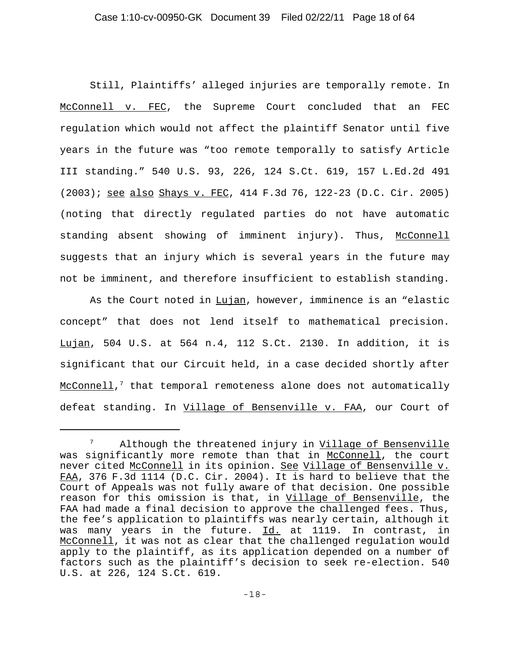Still, Plaintiffs' alleged injuries are temporally remote. In McConnell v. FEC, the Supreme Court concluded that an FEC regulation which would not affect the plaintiff Senator until five years in the future was "too remote temporally to satisfy Article III standing." 540 U.S. 93, 226, 124 S.Ct. 619, 157 L.Ed.2d 491 (2003); see also Shays v. FEC, 414 F.3d 76, 122-23 (D.C. Cir. 2005) (noting that directly regulated parties do not have automatic standing absent showing of imminent injury). Thus, McConnell suggests that an injury which is several years in the future may not be imminent, and therefore insufficient to establish standing.

As the Court noted in Lujan, however, imminence is an "elastic concept" that does not lend itself to mathematical precision. Lujan, 504 U.S. at 564 n.4, 112 S.Ct. 2130. In addition, it is significant that our Circuit held, in a case decided shortly after McConnell, $^7$  that temporal remoteness alone does not automatically defeat standing. In Village of Bensenville v. FAA, our Court of

Although the threatened injury in Village of Bensenville was significantly more remote than that in McConnell, the court never cited McConnell in its opinion. See Village of Bensenville v. FAA, 376 F.3d 1114 (D.C. Cir. 2004). It is hard to believe that the Court of Appeals was not fully aware of that decision. One possible reason for this omission is that, in Village of Bensenville, the FAA had made a final decision to approve the challenged fees. Thus, the fee's application to plaintiffs was nearly certain, although it was many years in the future. Id. at 1119. In contrast, in McConnell, it was not as clear that the challenged regulation would apply to the plaintiff, as its application depended on a number of factors such as the plaintiff's decision to seek re-election. 540 U.S. at 226, 124 S.Ct. 619.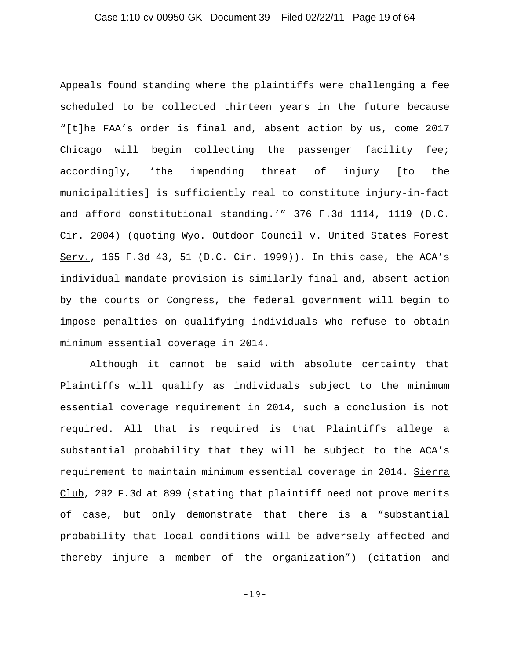Appeals found standing where the plaintiffs were challenging a fee scheduled to be collected thirteen years in the future because "[t]he FAA's order is final and, absent action by us, come 2017 Chicago will begin collecting the passenger facility fee; accordingly, 'the impending threat of injury [to the municipalities] is sufficiently real to constitute injury-in-fact and afford constitutional standing.'" 376 F.3d 1114, 1119 (D.C. Cir. 2004) (quoting Wyo. Outdoor Council v. United States Forest Serv., 165 F.3d 43, 51 (D.C. Cir. 1999)). In this case, the ACA's individual mandate provision is similarly final and, absent action by the courts or Congress, the federal government will begin to impose penalties on qualifying individuals who refuse to obtain minimum essential coverage in 2014.

Although it cannot be said with absolute certainty that Plaintiffs will qualify as individuals subject to the minimum essential coverage requirement in 2014, such a conclusion is not required. All that is required is that Plaintiffs allege a substantial probability that they will be subject to the ACA's requirement to maintain minimum essential coverage in 2014. Sierra Club, 292 F.3d at 899 (stating that plaintiff need not prove merits of case, but only demonstrate that there is a "substantial probability that local conditions will be adversely affected and thereby injure a member of the organization") (citation and

-19-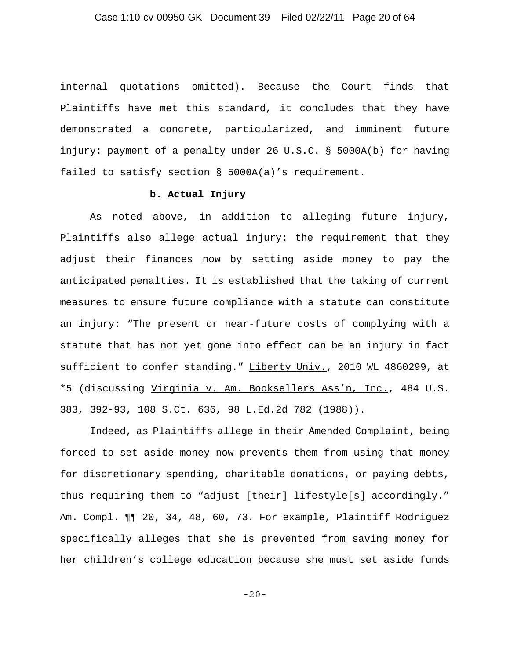### Case 1:10-cv-00950-GK Document 39 Filed 02/22/11 Page 20 of 64

internal quotations omitted). Because the Court finds that Plaintiffs have met this standard, it concludes that they have demonstrated a concrete, particularized, and imminent future injury: payment of a penalty under 26 U.S.C. § 5000A(b) for having failed to satisfy section § 5000A(a)'s requirement.

### **b. Actual Injury**

As noted above, in addition to alleging future injury, Plaintiffs also allege actual injury: the requirement that they adjust their finances now by setting aside money to pay the anticipated penalties. It is established that the taking of current measures to ensure future compliance with a statute can constitute an injury: "The present or near-future costs of complying with a statute that has not yet gone into effect can be an injury in fact sufficient to confer standing." Liberty Univ., 2010 WL 4860299, at \*5 (discussing Virginia v. Am. Booksellers Ass'n, Inc., 484 U.S. 383, 392-93, 108 S.Ct. 636, 98 L.Ed.2d 782 (1988)).

Indeed, as Plaintiffs allege in their Amended Complaint, being forced to set aside money now prevents them from using that money for discretionary spending, charitable donations, or paying debts, thus requiring them to "adjust [their] lifestyle[s] accordingly." Am. Compl. ¶¶ 20, 34, 48, 60, 73. For example, Plaintiff Rodriguez specifically alleges that she is prevented from saving money for her children's college education because she must set aside funds

-20-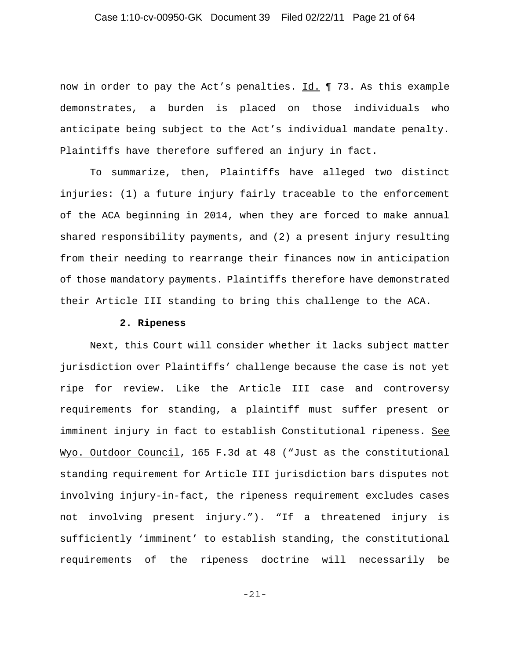### Case 1:10-cv-00950-GK Document 39 Filed 02/22/11 Page 21 of 64

now in order to pay the Act's penalties. Id. 173. As this example demonstrates, a burden is placed on those individuals who anticipate being subject to the Act's individual mandate penalty. Plaintiffs have therefore suffered an injury in fact.

To summarize, then, Plaintiffs have alleged two distinct injuries: (1) a future injury fairly traceable to the enforcement of the ACA beginning in 2014, when they are forced to make annual shared responsibility payments, and (2) a present injury resulting from their needing to rearrange their finances now in anticipation of those mandatory payments. Plaintiffs therefore have demonstrated their Article III standing to bring this challenge to the ACA.

#### **2. Ripeness**

Next, this Court will consider whether it lacks subject matter jurisdiction over Plaintiffs' challenge because the case is not yet ripe for review. Like the Article III case and controversy requirements for standing, a plaintiff must suffer present or imminent injury in fact to establish Constitutional ripeness. See Wyo. Outdoor Council, 165 F.3d at 48 ("Just as the constitutional standing requirement for Article III jurisdiction bars disputes not involving injury-in-fact, the ripeness requirement excludes cases not involving present injury."). "If a threatened injury is sufficiently 'imminent' to establish standing, the constitutional requirements of the ripeness doctrine will necessarily be

-21-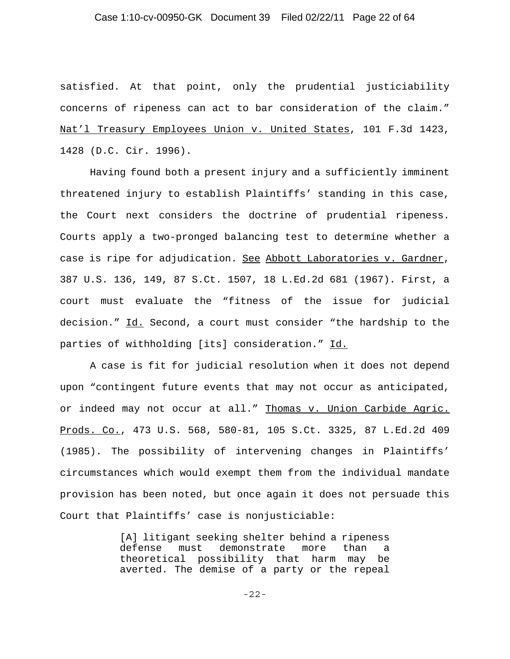### Case 1:10-cv-00950-GK Document 39 Filed 02/22/11 Page 22 of 64

satisfied. At that point, only the prudential justiciability concerns of ripeness can act to bar consideration of the claim." Nat'l Treasury Employees Union v. United States, 101 F.3d 1423, 1428 (D.C. Cir. 1996).

Having found both a present injury and a sufficiently imminent threatened injury to establish Plaintiffs' standing in this case, the Court next considers the doctrine of prudential ripeness. Courts apply a two-pronged balancing test to determine whether a case is ripe for adjudication. See Abbott Laboratories v. Gardner, 387 U.S. 136, 149, 87 S.Ct. 1507, 18 L.Ed.2d 681 (1967). First, a court must evaluate the "fitness of the issue for judicial decision." Id. Second, a court must consider "the hardship to the parties of withholding [its] consideration." Id.

A case is fit for judicial resolution when it does not depend upon "contingent future events that may not occur as anticipated, or indeed may not occur at all." Thomas v. Union Carbide Agric. Prods. Co., 473 U.S. 568, 580-81, 105 S.Ct. 3325, 87 L.Ed.2d 409 (1985). The possibility of intervening changes in Plaintiffs' circumstances which would exempt them from the individual mandate provision has been noted, but once again it does not persuade this Court that Plaintiffs' case is nonjusticiable:

> [A] litigant seeking shelter behind a ripeness defense must demonstrate more than a theoretical possibility that harm may be averted. The demise of a party or the repeal

> > -22-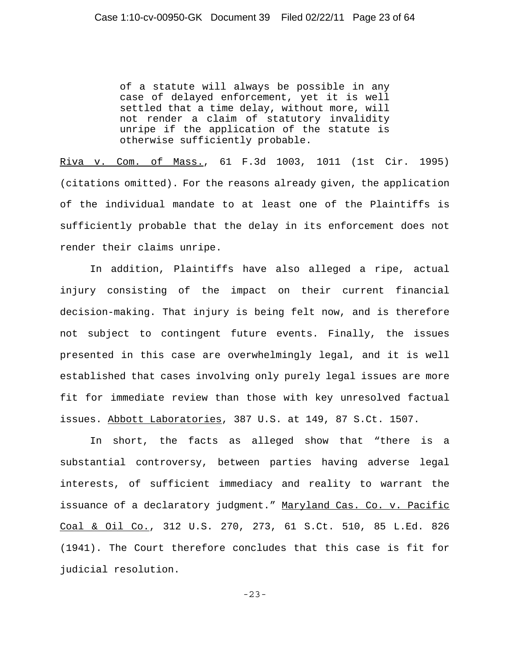of a statute will always be possible in any case of delayed enforcement, yet it is well settled that a time delay, without more, will not render a claim of statutory invalidity unripe if the application of the statute is otherwise sufficiently probable.

Riva v. Com. of Mass., 61 F.3d 1003, 1011 (1st Cir. 1995) (citations omitted). For the reasons already given, the application of the individual mandate to at least one of the Plaintiffs is sufficiently probable that the delay in its enforcement does not render their claims unripe.

In addition, Plaintiffs have also alleged a ripe, actual injury consisting of the impact on their current financial decision-making. That injury is being felt now, and is therefore not subject to contingent future events. Finally, the issues presented in this case are overwhelmingly legal, and it is well established that cases involving only purely legal issues are more fit for immediate review than those with key unresolved factual issues. Abbott Laboratories, 387 U.S. at 149, 87 S.Ct. 1507.

In short, the facts as alleged show that "there is a substantial controversy, between parties having adverse legal interests, of sufficient immediacy and reality to warrant the issuance of a declaratory judgment." Maryland Cas. Co. v. Pacific Coal & Oil Co., 312 U.S. 270, 273, 61 S.Ct. 510, 85 L.Ed. 826 (1941). The Court therefore concludes that this case is fit for judicial resolution.

-23-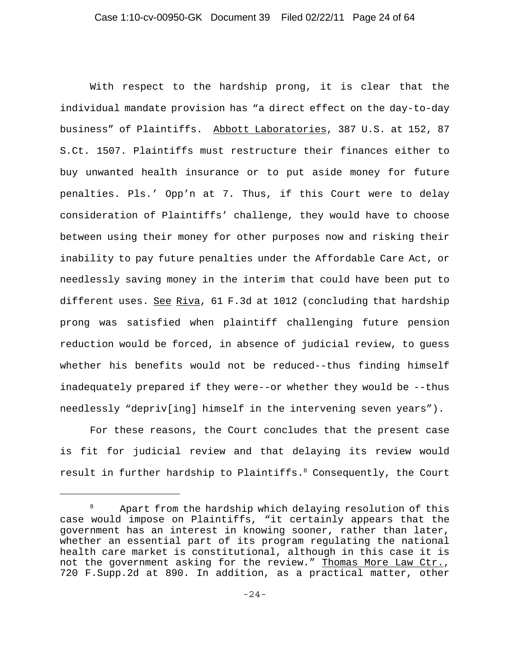With respect to the hardship prong, it is clear that the individual mandate provision has "a direct effect on the day-to-day business" of Plaintiffs. Abbott Laboratories, 387 U.S. at 152, 87 S.Ct. 1507. Plaintiffs must restructure their finances either to buy unwanted health insurance or to put aside money for future penalties. Pls.' Opp'n at 7. Thus, if this Court were to delay consideration of Plaintiffs' challenge, they would have to choose between using their money for other purposes now and risking their inability to pay future penalties under the Affordable Care Act, or needlessly saving money in the interim that could have been put to different uses. See Riva, 61 F.3d at 1012 (concluding that hardship prong was satisfied when plaintiff challenging future pension reduction would be forced, in absence of judicial review, to guess whether his benefits would not be reduced--thus finding himself inadequately prepared if they were--or whether they would be --thus needlessly "depriv[ing] himself in the intervening seven years").

For these reasons, the Court concludes that the present case is fit for judicial review and that delaying its review would result in further hardship to Plaintiffs. $^8$  Consequently, the Court

 $8$  Apart from the hardship which delaying resolution of this case would impose on Plaintiffs, "it certainly appears that the government has an interest in knowing sooner, rather than later, whether an essential part of its program regulating the national health care market is constitutional, although in this case it is not the government asking for the review." Thomas More Law Ctr., 720 F.Supp.2d at 890. In addition, as a practical matter, other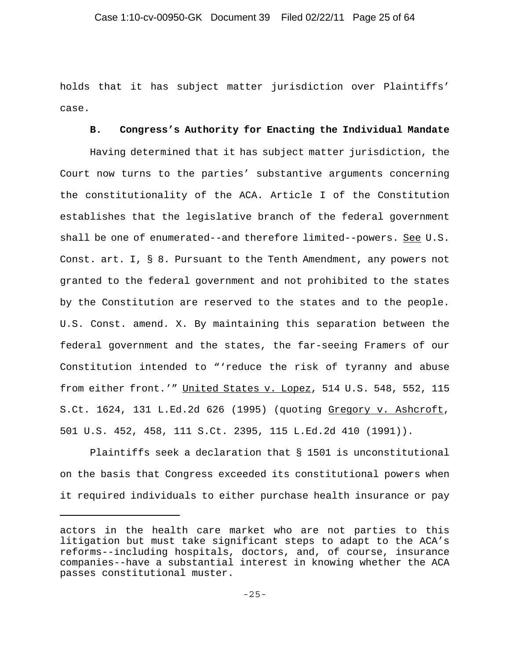holds that it has subject matter jurisdiction over Plaintiffs' case.

#### **B. Congress's Authority for Enacting the Individual Mandate**

Having determined that it has subject matter jurisdiction, the Court now turns to the parties' substantive arguments concerning the constitutionality of the ACA. Article I of the Constitution establishes that the legislative branch of the federal government shall be one of enumerated--and therefore limited--powers. See U.S. Const. art. I, § 8. Pursuant to the Tenth Amendment, any powers not granted to the federal government and not prohibited to the states by the Constitution are reserved to the states and to the people. U.S. Const. amend. X. By maintaining this separation between the federal government and the states, the far-seeing Framers of our Constitution intended to "'reduce the risk of tyranny and abuse from either front.'" United States v. Lopez, 514 U.S. 548, 552, 115 S.Ct. 1624, 131 L.Ed.2d 626 (1995) (quoting Gregory v. Ashcroft, 501 U.S. 452, 458, 111 S.Ct. 2395, 115 L.Ed.2d 410 (1991)).

Plaintiffs seek a declaration that § 1501 is unconstitutional on the basis that Congress exceeded its constitutional powers when it required individuals to either purchase health insurance or pay

actors in the health care market who are not parties to this litigation but must take significant steps to adapt to the ACA's reforms--including hospitals, doctors, and, of course, insurance companies--have a substantial interest in knowing whether the ACA passes constitutional muster.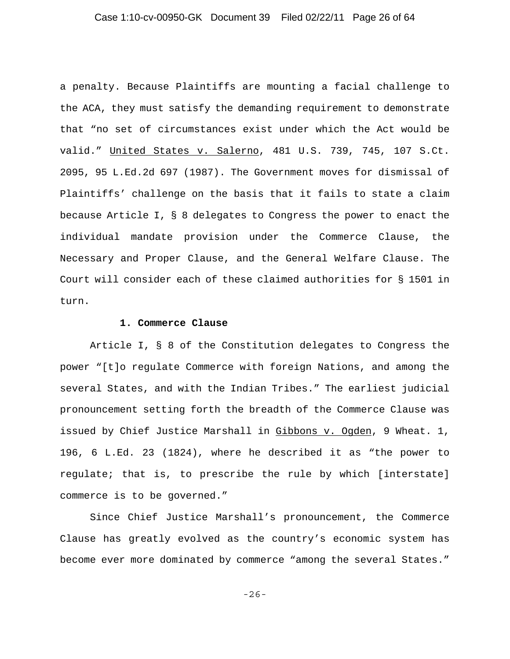### Case 1:10-cv-00950-GK Document 39 Filed 02/22/11 Page 26 of 64

a penalty. Because Plaintiffs are mounting a facial challenge to the ACA, they must satisfy the demanding requirement to demonstrate that "no set of circumstances exist under which the Act would be valid." United States v. Salerno, 481 U.S. 739, 745, 107 S.Ct. 2095, 95 L.Ed.2d 697 (1987). The Government moves for dismissal of Plaintiffs' challenge on the basis that it fails to state a claim because Article I, § 8 delegates to Congress the power to enact the individual mandate provision under the Commerce Clause, the Necessary and Proper Clause, and the General Welfare Clause. The Court will consider each of these claimed authorities for § 1501 in turn.

#### **1. Commerce Clause**

Article I, § 8 of the Constitution delegates to Congress the power "[t]o regulate Commerce with foreign Nations, and among the several States, and with the Indian Tribes." The earliest judicial pronouncement setting forth the breadth of the Commerce Clause was issued by Chief Justice Marshall in Gibbons v. Ogden, 9 Wheat. 1, 196, 6 L.Ed. 23 (1824), where he described it as "the power to regulate; that is, to prescribe the rule by which [interstate] commerce is to be governed."

Since Chief Justice Marshall's pronouncement, the Commerce Clause has greatly evolved as the country's economic system has become ever more dominated by commerce "among the several States."

-26-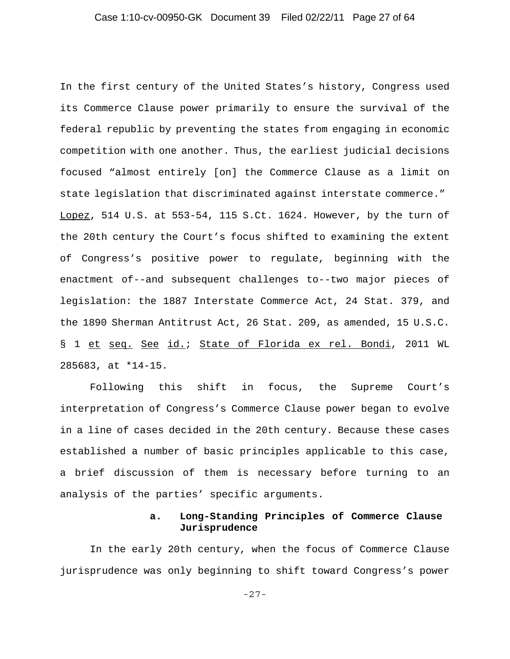In the first century of the United States's history, Congress used its Commerce Clause power primarily to ensure the survival of the federal republic by preventing the states from engaging in economic competition with one another. Thus, the earliest judicial decisions focused "almost entirely [on] the Commerce Clause as a limit on state legislation that discriminated against interstate commerce." Lopez, 514 U.S. at 553-54, 115 S.Ct. 1624. However, by the turn of the 20th century the Court's focus shifted to examining the extent of Congress's positive power to regulate, beginning with the enactment of--and subsequent challenges to--two major pieces of legislation: the 1887 Interstate Commerce Act, 24 Stat. 379, and the 1890 Sherman Antitrust Act, 26 Stat. 209, as amended, 15 U.S.C. § 1 et seq. See id.; State of Florida ex rel. Bondi, 2011 WL 285683, at \*14-15.

Following this shift in focus, the Supreme Court's interpretation of Congress's Commerce Clause power began to evolve in a line of cases decided in the 20th century. Because these cases established a number of basic principles applicable to this case, a brief discussion of them is necessary before turning to an analysis of the parties' specific arguments.

### **a. Long-Standing Principles of Commerce Clause Jurisprudence**

In the early 20th century, when the focus of Commerce Clause jurisprudence was only beginning to shift toward Congress's power

-27-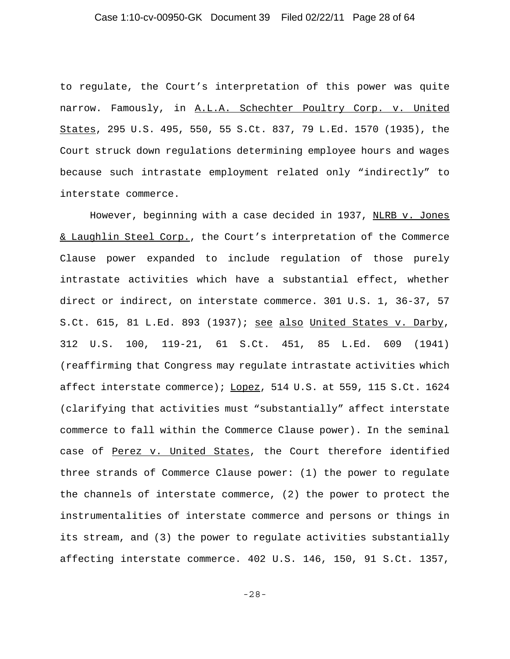### Case 1:10-cv-00950-GK Document 39 Filed 02/22/11 Page 28 of 64

to regulate, the Court's interpretation of this power was quite narrow. Famously, in A.L.A. Schechter Poultry Corp. v. United States, 295 U.S. 495, 550, 55 S.Ct. 837, 79 L.Ed. 1570 (1935), the Court struck down regulations determining employee hours and wages because such intrastate employment related only "indirectly" to interstate commerce.

However, beginning with a case decided in 1937, NLRB v. Jones & Laughlin Steel Corp., the Court's interpretation of the Commerce Clause power expanded to include regulation of those purely intrastate activities which have a substantial effect, whether direct or indirect, on interstate commerce. 301 U.S. 1, 36-37, 57 S.Ct. 615, 81 L.Ed. 893 (1937); see also United States v. Darby, 312 U.S. 100, 119-21, 61 S.Ct. 451, 85 L.Ed. 609 (1941) (reaffirming that Congress may regulate intrastate activities which affect interstate commerce); Lopez, 514 U.S. at 559, 115 S.Ct. 1624 (clarifying that activities must "substantially" affect interstate commerce to fall within the Commerce Clause power). In the seminal case of Perez v. United States, the Court therefore identified three strands of Commerce Clause power: (1) the power to regulate the channels of interstate commerce, (2) the power to protect the instrumentalities of interstate commerce and persons or things in its stream, and (3) the power to regulate activities substantially affecting interstate commerce. 402 U.S. 146, 150, 91 S.Ct. 1357,

-28-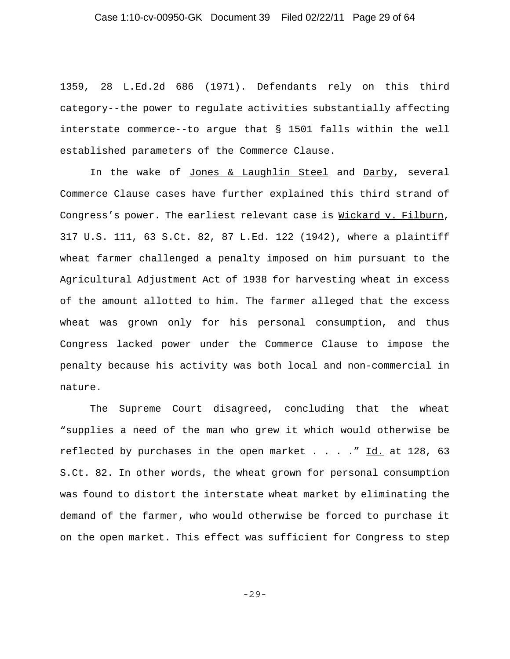1359, 28 L.Ed.2d 686 (1971). Defendants rely on this third category--the power to regulate activities substantially affecting interstate commerce--to argue that § 1501 falls within the well established parameters of the Commerce Clause.

In the wake of Jones & Laughlin Steel and Darby, several Commerce Clause cases have further explained this third strand of Congress's power. The earliest relevant case is Wickard v. Filburn, 317 U.S. 111, 63 S.Ct. 82, 87 L.Ed. 122 (1942), where a plaintiff wheat farmer challenged a penalty imposed on him pursuant to the Agricultural Adjustment Act of 1938 for harvesting wheat in excess of the amount allotted to him. The farmer alleged that the excess wheat was grown only for his personal consumption, and thus Congress lacked power under the Commerce Clause to impose the penalty because his activity was both local and non-commercial in nature.

The Supreme Court disagreed, concluding that the wheat "supplies a need of the man who grew it which would otherwise be reflected by purchases in the open market  $\ldots$  . . " Id. at 128, 63 S.Ct. 82. In other words, the wheat grown for personal consumption was found to distort the interstate wheat market by eliminating the demand of the farmer, who would otherwise be forced to purchase it on the open market. This effect was sufficient for Congress to step

-29-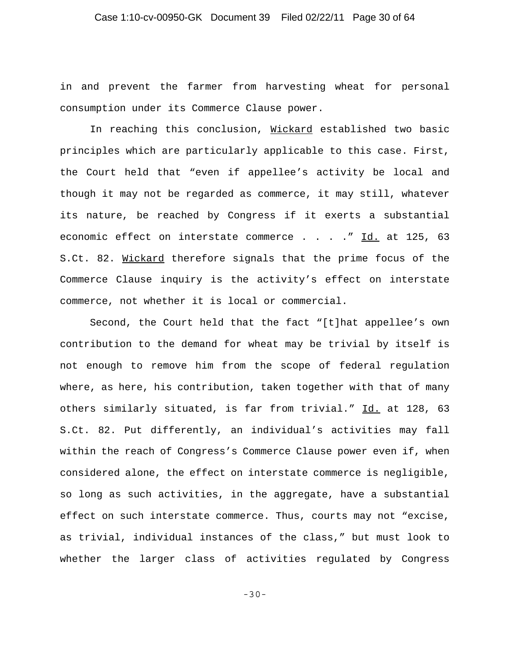### Case 1:10-cv-00950-GK Document 39 Filed 02/22/11 Page 30 of 64

in and prevent the farmer from harvesting wheat for personal consumption under its Commerce Clause power.

In reaching this conclusion, Wickard established two basic principles which are particularly applicable to this case. First, the Court held that "even if appellee's activity be local and though it may not be regarded as commerce, it may still, whatever its nature, be reached by Congress if it exerts a substantial economic effect on interstate commerce . . . . " Id. at 125, 63 S.Ct. 82. Wickard therefore signals that the prime focus of the Commerce Clause inquiry is the activity's effect on interstate commerce, not whether it is local or commercial.

Second, the Court held that the fact "[t]hat appellee's own contribution to the demand for wheat may be trivial by itself is not enough to remove him from the scope of federal regulation where, as here, his contribution, taken together with that of many others similarly situated, is far from trivial." Id. at 128, 63 S.Ct. 82. Put differently, an individual's activities may fall within the reach of Congress's Commerce Clause power even if, when considered alone, the effect on interstate commerce is negligible, so long as such activities, in the aggregate, have a substantial effect on such interstate commerce. Thus, courts may not "excise, as trivial, individual instances of the class," but must look to whether the larger class of activities regulated by Congress

-30-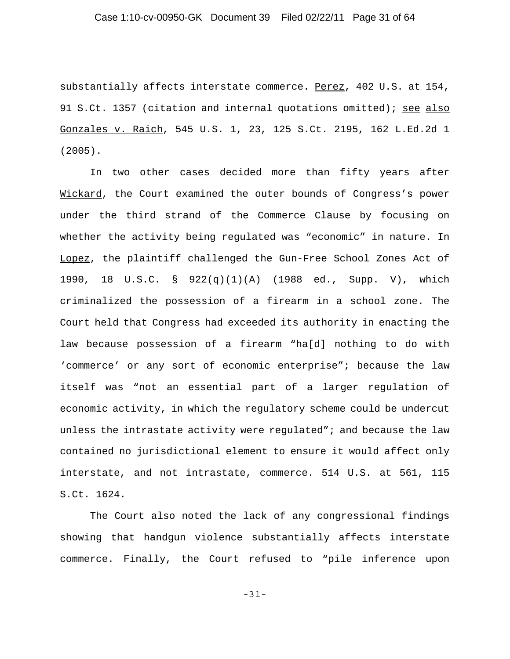### Case 1:10-cv-00950-GK Document 39 Filed 02/22/11 Page 31 of 64

substantially affects interstate commerce. Perez, 402 U.S. at 154, 91 S.Ct. 1357 (citation and internal quotations omitted); see also Gonzales v. Raich, 545 U.S. 1, 23, 125 S.Ct. 2195, 162 L.Ed.2d 1 (2005).

In two other cases decided more than fifty years after Wickard, the Court examined the outer bounds of Congress's power under the third strand of the Commerce Clause by focusing on whether the activity being regulated was "economic" in nature. In Lopez, the plaintiff challenged the Gun-Free School Zones Act of 1990, 18 U.S.C. § 922(q)(1)(A) (1988 ed., Supp. V), which criminalized the possession of a firearm in a school zone. The Court held that Congress had exceeded its authority in enacting the law because possession of a firearm "ha[d] nothing to do with 'commerce' or any sort of economic enterprise"; because the law itself was "not an essential part of a larger regulation of economic activity, in which the regulatory scheme could be undercut unless the intrastate activity were regulated"; and because the law contained no jurisdictional element to ensure it would affect only interstate, and not intrastate, commerce. 514 U.S. at 561, 115 S.Ct. 1624.

The Court also noted the lack of any congressional findings showing that handgun violence substantially affects interstate commerce. Finally, the Court refused to "pile inference upon

-31-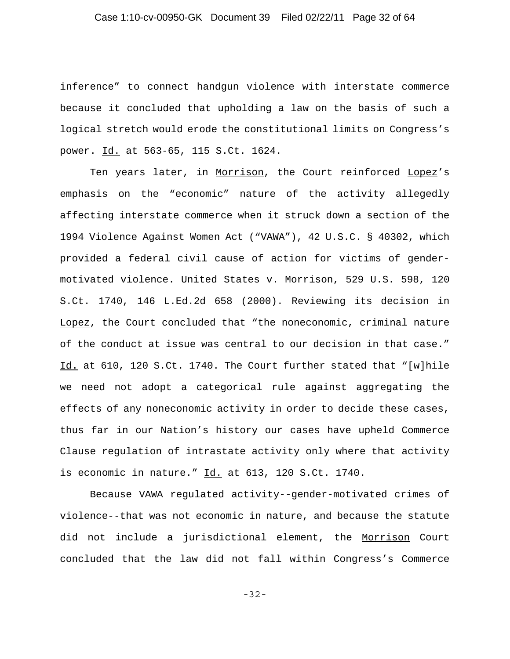### Case 1:10-cv-00950-GK Document 39 Filed 02/22/11 Page 32 of 64

inference" to connect handgun violence with interstate commerce because it concluded that upholding a law on the basis of such a logical stretch would erode the constitutional limits on Congress's power. Id. at 563-65, 115 S.Ct. 1624.

Ten years later, in Morrison, the Court reinforced Lopez's emphasis on the "economic" nature of the activity allegedly affecting interstate commerce when it struck down a section of the 1994 Violence Against Women Act ("VAWA"), 42 U.S.C. § 40302, which provided a federal civil cause of action for victims of gendermotivated violence. United States v. Morrison, 529 U.S. 598, 120 S.Ct. 1740, 146 L.Ed.2d 658 (2000). Reviewing its decision in Lopez, the Court concluded that "the noneconomic, criminal nature of the conduct at issue was central to our decision in that case." Id. at 610, 120 S.Ct. 1740. The Court further stated that "[w]hile we need not adopt a categorical rule against aggregating the effects of any noneconomic activity in order to decide these cases, thus far in our Nation's history our cases have upheld Commerce Clause regulation of intrastate activity only where that activity is economic in nature."  $Id.$  at 613, 120 S.Ct. 1740.

Because VAWA regulated activity--gender-motivated crimes of violence--that was not economic in nature, and because the statute did not include a jurisdictional element, the Morrison Court concluded that the law did not fall within Congress's Commerce

-32-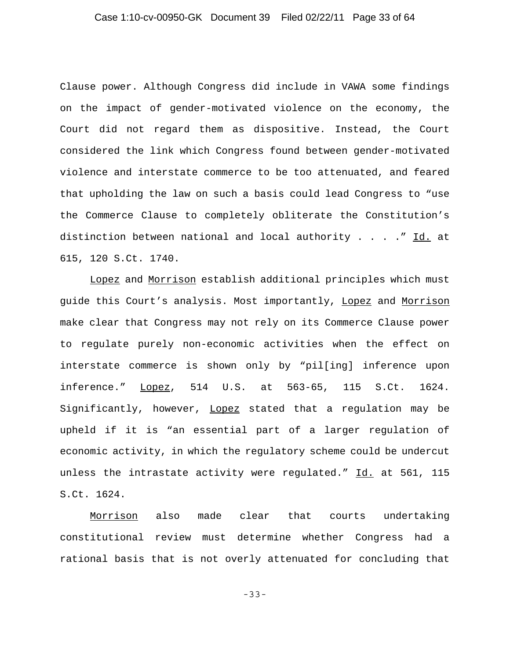### Case 1:10-cv-00950-GK Document 39 Filed 02/22/11 Page 33 of 64

Clause power. Although Congress did include in VAWA some findings on the impact of gender-motivated violence on the economy, the Court did not regard them as dispositive. Instead, the Court considered the link which Congress found between gender-motivated violence and interstate commerce to be too attenuated, and feared that upholding the law on such a basis could lead Congress to "use the Commerce Clause to completely obliterate the Constitution's distinction between national and local authority  $\ldots$  . . . " Id. at 615, 120 S.Ct. 1740.

Lopez and Morrison establish additional principles which must guide this Court's analysis. Most importantly, Lopez and Morrison make clear that Congress may not rely on its Commerce Clause power to regulate purely non-economic activities when the effect on interstate commerce is shown only by "pil[ing] inference upon inference." Lopez, 514 U.S. at 563-65, 115 S.Ct. 1624. Significantly, however, Lopez stated that a regulation may be upheld if it is "an essential part of a larger regulation of economic activity, in which the regulatory scheme could be undercut unless the intrastate activity were regulated." Id. at 561, 115 S.Ct. 1624.

Morrison also made clear that courts undertaking constitutional review must determine whether Congress had a rational basis that is not overly attenuated for concluding that

-33-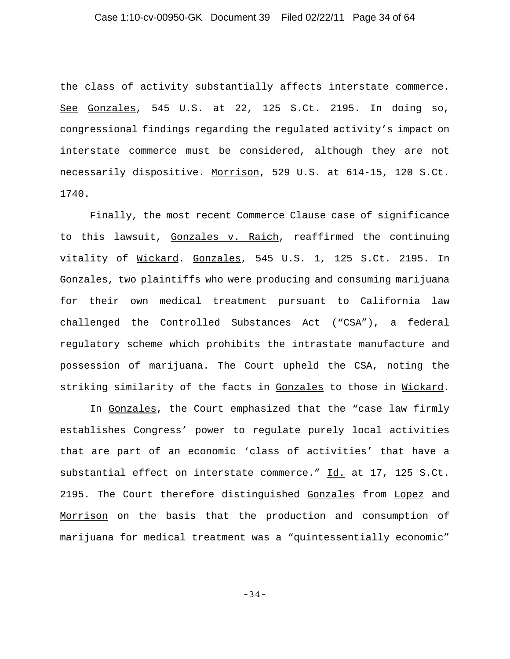the class of activity substantially affects interstate commerce. See Gonzales, 545 U.S. at 22, 125 S.Ct. 2195. In doing so, congressional findings regarding the regulated activity's impact on interstate commerce must be considered, although they are not necessarily dispositive. Morrison, 529 U.S. at 614-15, 120 S.Ct. 1740.

Finally, the most recent Commerce Clause case of significance to this lawsuit, Gonzales v. Raich, reaffirmed the continuing vitality of Wickard. Gonzales, 545 U.S. 1, 125 S.Ct. 2195. In Gonzales, two plaintiffs who were producing and consuming marijuana for their own medical treatment pursuant to California law challenged the Controlled Substances Act ("CSA"), a federal regulatory scheme which prohibits the intrastate manufacture and possession of marijuana. The Court upheld the CSA, noting the striking similarity of the facts in Gonzales to those in Wickard.

In Gonzales, the Court emphasized that the "case law firmly establishes Congress' power to regulate purely local activities that are part of an economic 'class of activities' that have a substantial effect on interstate commerce." Id. at 17, 125 S.Ct. 2195. The Court therefore distinguished Gonzales from Lopez and Morrison on the basis that the production and consumption of marijuana for medical treatment was a "quintessentially economic"

-34-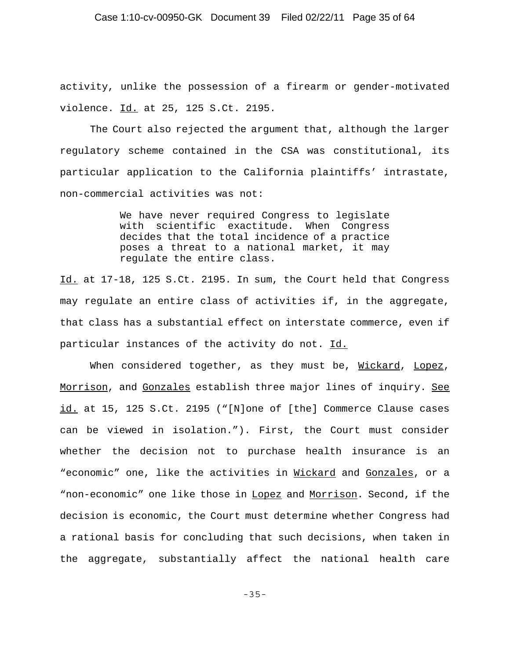activity, unlike the possession of a firearm or gender-motivated violence. Id. at 25, 125 S.Ct. 2195.

The Court also rejected the argument that, although the larger regulatory scheme contained in the CSA was constitutional, its particular application to the California plaintiffs' intrastate, non-commercial activities was not:

> We have never required Congress to legislate with scientific exactitude. When Congress decides that the total incidence of a practice poses a threat to a national market, it may regulate the entire class.

Id. at 17-18, 125 S.Ct. 2195. In sum, the Court held that Congress may regulate an entire class of activities if, in the aggregate, that class has a substantial effect on interstate commerce, even if particular instances of the activity do not. Id.

When considered together, as they must be, Wickard, Lopez, Morrison, and Gonzales establish three major lines of inquiry. See id. at 15, 125 S.Ct. 2195 ("[N]one of [the] Commerce Clause cases can be viewed in isolation."). First, the Court must consider whether the decision not to purchase health insurance is an "economic" one, like the activities in Wickard and Gonzales, or a "non-economic" one like those in Lopez and Morrison. Second, if the decision is economic, the Court must determine whether Congress had a rational basis for concluding that such decisions, when taken in the aggregate, substantially affect the national health care

-35-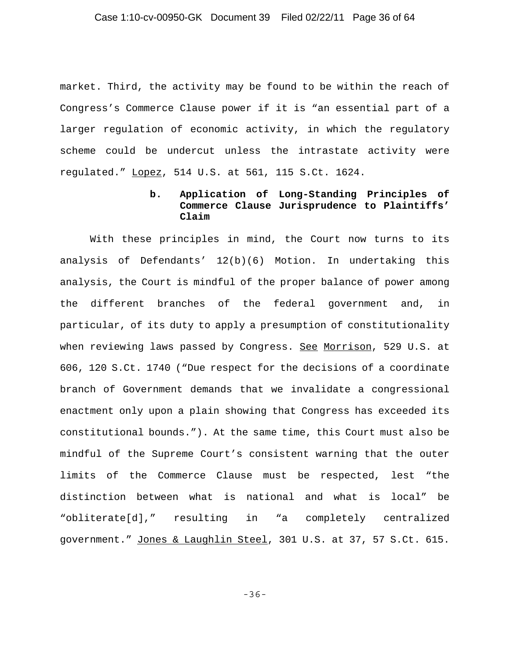### Case 1:10-cv-00950-GK Document 39 Filed 02/22/11 Page 36 of 64

market. Third, the activity may be found to be within the reach of Congress's Commerce Clause power if it is "an essential part of a larger regulation of economic activity, in which the regulatory scheme could be undercut unless the intrastate activity were regulated." Lopez, 514 U.S. at 561, 115 S.Ct. 1624.

## **b. Application of Long-Standing Principles of Commerce Clause Jurisprudence to Plaintiffs' Claim**

With these principles in mind, the Court now turns to its analysis of Defendants' 12(b)(6) Motion. In undertaking this analysis, the Court is mindful of the proper balance of power among the different branches of the federal government and, in particular, of its duty to apply a presumption of constitutionality when reviewing laws passed by Congress. See Morrison, 529 U.S. at 606, 120 S.Ct. 1740 ("Due respect for the decisions of a coordinate branch of Government demands that we invalidate a congressional enactment only upon a plain showing that Congress has exceeded its constitutional bounds."). At the same time, this Court must also be mindful of the Supreme Court's consistent warning that the outer limits of the Commerce Clause must be respected, lest "the distinction between what is national and what is local" be "obliterate[d]," resulting in "a completely centralized government." Jones & Laughlin Steel, 301 U.S. at 37, 57 S.Ct. 615.

-36-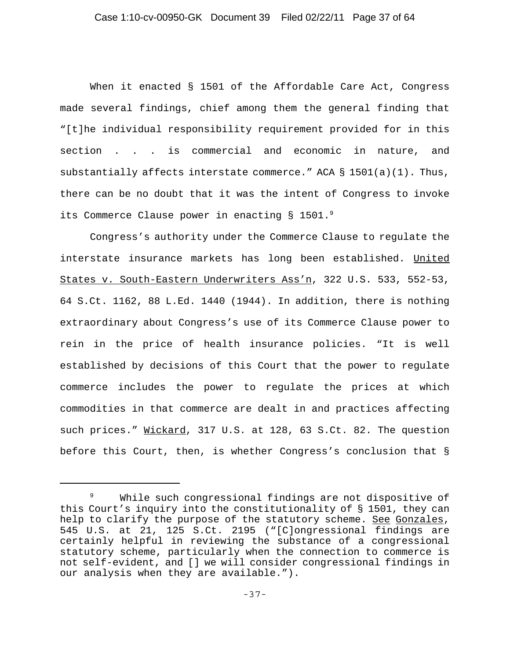### Case 1:10-cv-00950-GK Document 39 Filed 02/22/11 Page 37 of 64

When it enacted § 1501 of the Affordable Care Act, Congress made several findings, chief among them the general finding that "[t]he individual responsibility requirement provided for in this section . . . is commercial and economic in nature, and substantially affects interstate commerce." ACA  $\S$  1501(a)(1). Thus, there can be no doubt that it was the intent of Congress to invoke its Commerce Clause power in enacting § 1501.9

Congress's authority under the Commerce Clause to regulate the interstate insurance markets has long been established. United States v. South-Eastern Underwriters Ass'n, 322 U.S. 533, 552-53, 64 S.Ct. 1162, 88 L.Ed. 1440 (1944). In addition, there is nothing extraordinary about Congress's use of its Commerce Clause power to rein in the price of health insurance policies. "It is well established by decisions of this Court that the power to regulate commerce includes the power to regulate the prices at which commodities in that commerce are dealt in and practices affecting such prices." Wickard, 317 U.S. at 128, 63 S.Ct. 82. The question before this Court, then, is whether Congress's conclusion that §

<sup>&</sup>lt;sup>9</sup> While such congressional findings are not dispositive of this Court's inquiry into the constitutionality of § 1501, they can help to clarify the purpose of the statutory scheme. See Gonzales, 545 U.S. at 21, 125 S.Ct. 2195 ("[C]ongressional findings are certainly helpful in reviewing the substance of a congressional statutory scheme, particularly when the connection to commerce is not self-evident, and [] we will consider congressional findings in our analysis when they are available.").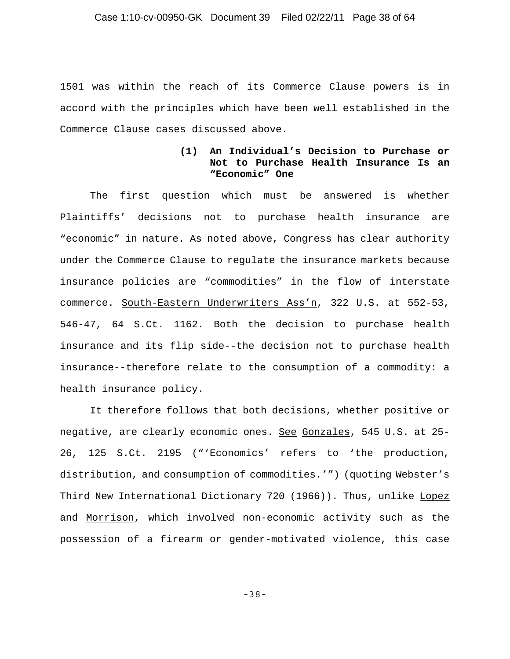1501 was within the reach of its Commerce Clause powers is in accord with the principles which have been well established in the Commerce Clause cases discussed above.

### **(1) An Individual's Decision to Purchase or Not to Purchase Health Insurance Is an "Economic" One**

The first question which must be answered is whether Plaintiffs' decisions not to purchase health insurance are "economic" in nature. As noted above, Congress has clear authority under the Commerce Clause to regulate the insurance markets because insurance policies are "commodities" in the flow of interstate commerce. South-Eastern Underwriters Ass'n, 322 U.S. at 552-53, 546-47, 64 S.Ct. 1162. Both the decision to purchase health insurance and its flip side--the decision not to purchase health insurance--therefore relate to the consumption of a commodity: a health insurance policy.

It therefore follows that both decisions, whether positive or negative, are clearly economic ones. See Gonzales, 545 U.S. at 25- 26, 125 S.Ct. 2195 ("'Economics' refers to 'the production, distribution, and consumption of commodities.'") (quoting Webster's Third New International Dictionary 720 (1966)). Thus, unlike Lopez and Morrison, which involved non-economic activity such as the possession of a firearm or gender-motivated violence, this case

-38-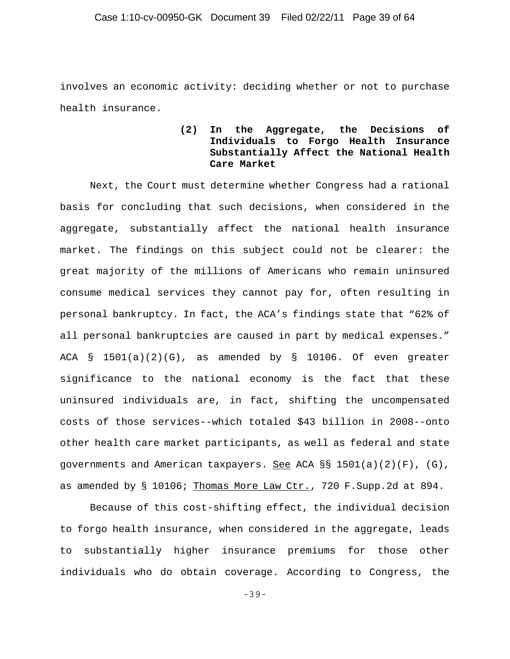involves an economic activity: deciding whether or not to purchase health insurance.

## **(2) In the Aggregate, the Decisions of Individuals to Forgo Health Insurance Substantially Affect the National Health Care Market**

Next, the Court must determine whether Congress had a rational basis for concluding that such decisions, when considered in the aggregate, substantially affect the national health insurance market. The findings on this subject could not be clearer: the great majority of the millions of Americans who remain uninsured consume medical services they cannot pay for, often resulting in personal bankruptcy. In fact, the ACA's findings state that "62% of all personal bankruptcies are caused in part by medical expenses." ACA  $\S$  1501(a)(2)(G), as amended by  $\S$  10106. Of even greater significance to the national economy is the fact that these uninsured individuals are, in fact, shifting the uncompensated costs of those services--which totaled \$43 billion in 2008--onto other health care market participants, as well as federal and state governments and American taxpayers. See ACA  $\S$ § 1501(a)(2)(F), (G), as amended by § 10106; Thomas More Law Ctr., 720 F. Supp. 2d at 894.

Because of this cost-shifting effect, the individual decision to forgo health insurance, when considered in the aggregate, leads to substantially higher insurance premiums for those other individuals who do obtain coverage. According to Congress, the

-39-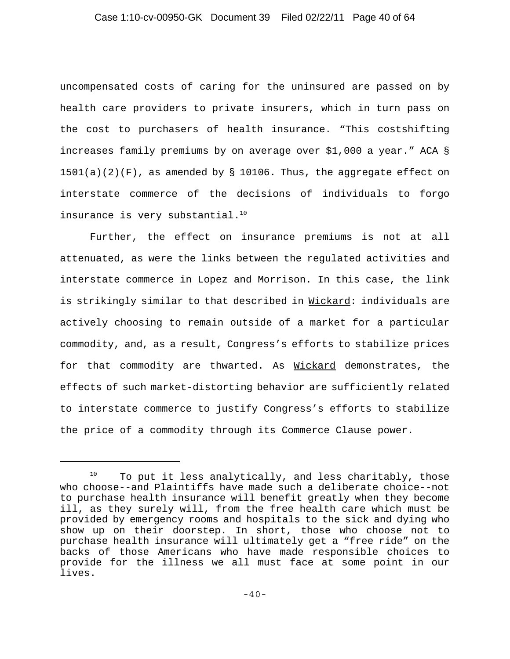## Case 1:10-cv-00950-GK Document 39 Filed 02/22/11 Page 40 of 64

uncompensated costs of caring for the uninsured are passed on by health care providers to private insurers, which in turn pass on the cost to purchasers of health insurance. "This costshifting increases family premiums by on average over \$1,000 a year." ACA §  $1501(a)(2)(F)$ , as amended by § 10106. Thus, the aggregate effect on interstate commerce of the decisions of individuals to forgo insurance is very substantial. $10$ 

Further, the effect on insurance premiums is not at all attenuated, as were the links between the regulated activities and interstate commerce in Lopez and Morrison. In this case, the link is strikingly similar to that described in Wickard: individuals are actively choosing to remain outside of a market for a particular commodity, and, as a result, Congress's efforts to stabilize prices for that commodity are thwarted. As Wickard demonstrates, the effects of such market-distorting behavior are sufficiently related to interstate commerce to justify Congress's efforts to stabilize the price of a commodity through its Commerce Clause power.

 $10$  To put it less analytically, and less charitably, those who choose--and Plaintiffs have made such a deliberate choice--not to purchase health insurance will benefit greatly when they become ill, as they surely will, from the free health care which must be provided by emergency rooms and hospitals to the sick and dying who show up on their doorstep. In short, those who choose not to purchase health insurance will ultimately get a "free ride" on the backs of those Americans who have made responsible choices to provide for the illness we all must face at some point in our lives.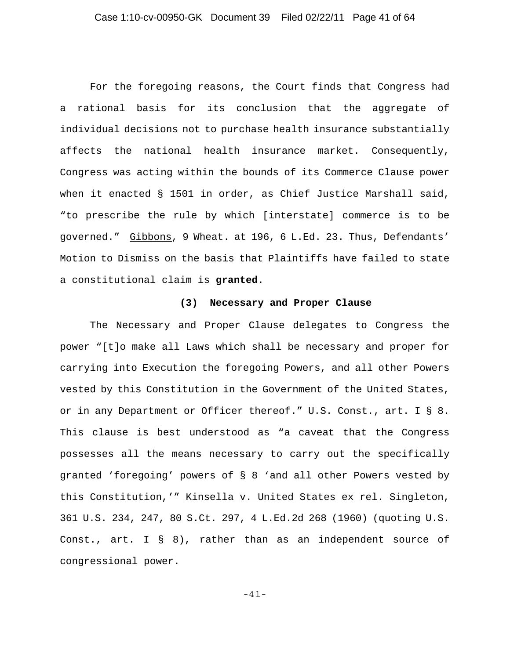## Case 1:10-cv-00950-GK Document 39 Filed 02/22/11 Page 41 of 64

For the foregoing reasons, the Court finds that Congress had a rational basis for its conclusion that the aggregate of individual decisions not to purchase health insurance substantially affects the national health insurance market. Consequently, Congress was acting within the bounds of its Commerce Clause power when it enacted § 1501 in order, as Chief Justice Marshall said, "to prescribe the rule by which [interstate] commerce is to be governed." Gibbons, 9 Wheat. at 196, 6 L.Ed. 23. Thus, Defendants' Motion to Dismiss on the basis that Plaintiffs have failed to state a constitutional claim is **granted**.

#### **(3) Necessary and Proper Clause**

The Necessary and Proper Clause delegates to Congress the power "[t]o make all Laws which shall be necessary and proper for carrying into Execution the foregoing Powers, and all other Powers vested by this Constitution in the Government of the United States, or in any Department or Officer thereof." U.S. Const., art. I § 8. This clause is best understood as "a caveat that the Congress possesses all the means necessary to carry out the specifically granted 'foregoing' powers of § 8 'and all other Powers vested by this Constitution,'" Kinsella v. United States ex rel. Singleton, 361 U.S. 234, 247, 80 S.Ct. 297, 4 L.Ed.2d 268 (1960) (quoting U.S. Const., art. I § 8), rather than as an independent source of congressional power.

-41-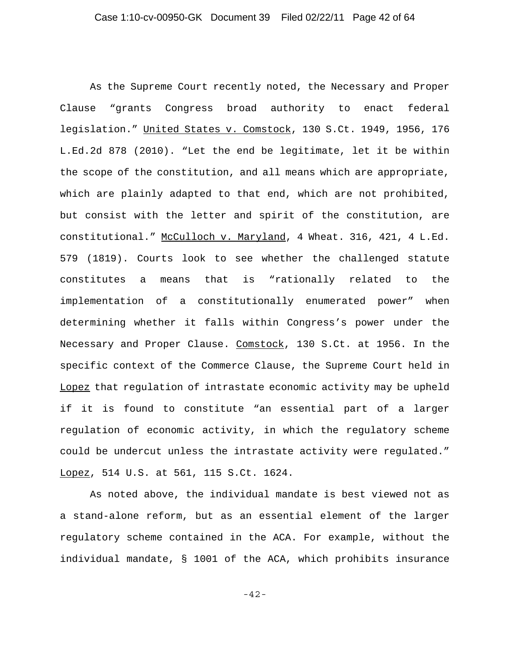As the Supreme Court recently noted, the Necessary and Proper Clause "grants Congress broad authority to enact federal legislation." United States v. Comstock, 130 S.Ct. 1949, 1956, 176 L.Ed.2d 878 (2010). "Let the end be legitimate, let it be within the scope of the constitution, and all means which are appropriate, which are plainly adapted to that end, which are not prohibited, but consist with the letter and spirit of the constitution, are constitutional." McCulloch v. Maryland, 4 Wheat. 316, 421, 4 L.Ed. 579 (1819). Courts look to see whether the challenged statute constitutes a means that is "rationally related to the implementation of a constitutionally enumerated power" when determining whether it falls within Congress's power under the Necessary and Proper Clause. Comstock, 130 S.Ct. at 1956. In the specific context of the Commerce Clause, the Supreme Court held in Lopez that regulation of intrastate economic activity may be upheld if it is found to constitute "an essential part of a larger regulation of economic activity, in which the regulatory scheme could be undercut unless the intrastate activity were regulated." Lopez, 514 U.S. at 561, 115 S.Ct. 1624.

As noted above, the individual mandate is best viewed not as a stand-alone reform, but as an essential element of the larger regulatory scheme contained in the ACA. For example, without the individual mandate, § 1001 of the ACA, which prohibits insurance

-42-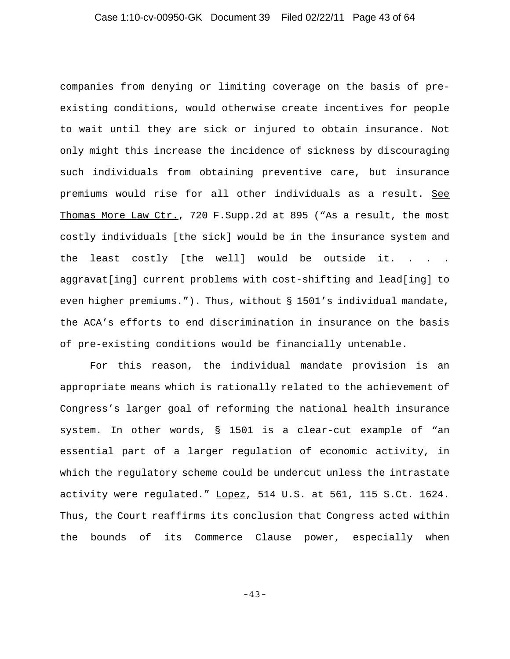companies from denying or limiting coverage on the basis of preexisting conditions, would otherwise create incentives for people to wait until they are sick or injured to obtain insurance. Not only might this increase the incidence of sickness by discouraging such individuals from obtaining preventive care, but insurance premiums would rise for all other individuals as a result. See Thomas More Law Ctr., 720 F. Supp. 2d at 895 ("As a result, the most costly individuals [the sick] would be in the insurance system and the least costly [the well] would be outside it. . . . aggravat[ing] current problems with cost-shifting and lead[ing] to even higher premiums."). Thus, without § 1501's individual mandate, the ACA's efforts to end discrimination in insurance on the basis of pre-existing conditions would be financially untenable.

For this reason, the individual mandate provision is an appropriate means which is rationally related to the achievement of Congress's larger goal of reforming the national health insurance system. In other words, § 1501 is a clear-cut example of "an essential part of a larger regulation of economic activity, in which the regulatory scheme could be undercut unless the intrastate activity were regulated." Lopez, 514 U.S. at 561, 115 S.Ct. 1624. Thus, the Court reaffirms its conclusion that Congress acted within the bounds of its Commerce Clause power, especially when

-43-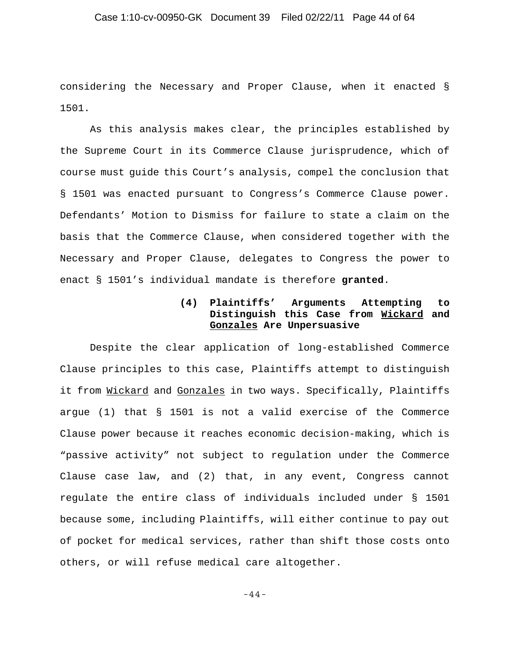### Case 1:10-cv-00950-GK Document 39 Filed 02/22/11 Page 44 of 64

considering the Necessary and Proper Clause, when it enacted § 1501.

As this analysis makes clear, the principles established by the Supreme Court in its Commerce Clause jurisprudence, which of course must guide this Court's analysis, compel the conclusion that § 1501 was enacted pursuant to Congress's Commerce Clause power. Defendants' Motion to Dismiss for failure to state a claim on the basis that the Commerce Clause, when considered together with the Necessary and Proper Clause, delegates to Congress the power to enact § 1501's individual mandate is therefore **granted**.

## **(4) Plaintiffs' Arguments Attempting to Distinguish this Case from Wickard and Gonzales Are Unpersuasive**

Despite the clear application of long-established Commerce Clause principles to this case, Plaintiffs attempt to distinguish it from Wickard and Gonzales in two ways. Specifically, Plaintiffs argue (1) that § 1501 is not a valid exercise of the Commerce Clause power because it reaches economic decision-making, which is "passive activity" not subject to regulation under the Commerce Clause case law, and (2) that, in any event, Congress cannot regulate the entire class of individuals included under § 1501 because some, including Plaintiffs, will either continue to pay out of pocket for medical services, rather than shift those costs onto others, or will refuse medical care altogether.

-44-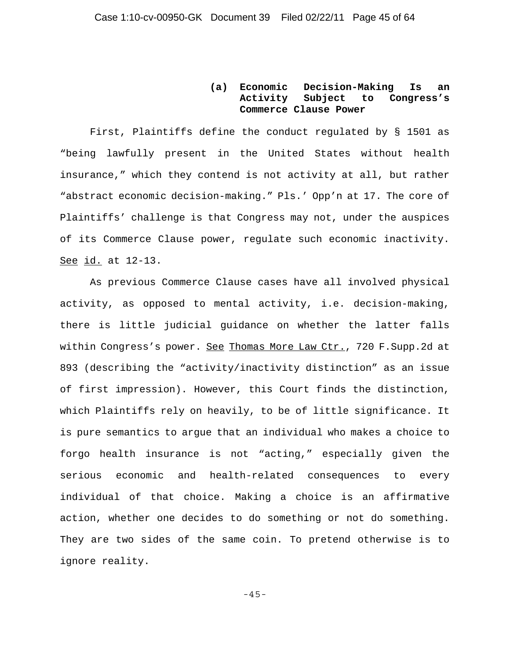## **(a) Economic Decision-Making Is an Activity Subject to Congress's Commerce Clause Power**

First, Plaintiffs define the conduct regulated by § 1501 as "being lawfully present in the United States without health insurance," which they contend is not activity at all, but rather "abstract economic decision-making." Pls.' Opp'n at 17. The core of Plaintiffs' challenge is that Congress may not, under the auspices of its Commerce Clause power, regulate such economic inactivity. See id. at 12-13.

As previous Commerce Clause cases have all involved physical activity, as opposed to mental activity, i.e. decision-making, there is little judicial guidance on whether the latter falls within Congress's power. See Thomas More Law Ctr., 720 F. Supp.2d at 893 (describing the "activity/inactivity distinction" as an issue of first impression). However, this Court finds the distinction, which Plaintiffs rely on heavily, to be of little significance. It is pure semantics to argue that an individual who makes a choice to forgo health insurance is not "acting," especially given the serious economic and health-related consequences to every individual of that choice. Making a choice is an affirmative action, whether one decides to do something or not do something. They are two sides of the same coin. To pretend otherwise is to ignore reality.

-45-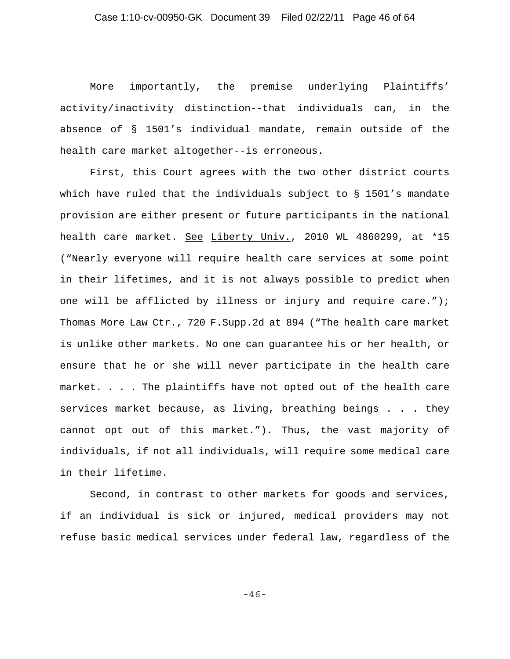More importantly, the premise underlying Plaintiffs' activity/inactivity distinction--that individuals can, in the absence of § 1501's individual mandate, remain outside of the health care market altogether--is erroneous.

First, this Court agrees with the two other district courts which have ruled that the individuals subject to § 1501's mandate provision are either present or future participants in the national health care market. See Liberty Univ., 2010 WL 4860299, at \*15 ("Nearly everyone will require health care services at some point in their lifetimes, and it is not always possible to predict when one will be afflicted by illness or injury and require care."); Thomas More Law Ctr., 720 F. Supp. 2d at 894 ("The health care market is unlike other markets. No one can guarantee his or her health, or ensure that he or she will never participate in the health care market. . . . The plaintiffs have not opted out of the health care services market because, as living, breathing beings . . . they cannot opt out of this market."). Thus, the vast majority of individuals, if not all individuals, will require some medical care in their lifetime.

Second, in contrast to other markets for goods and services, if an individual is sick or injured, medical providers may not refuse basic medical services under federal law, regardless of the

-46-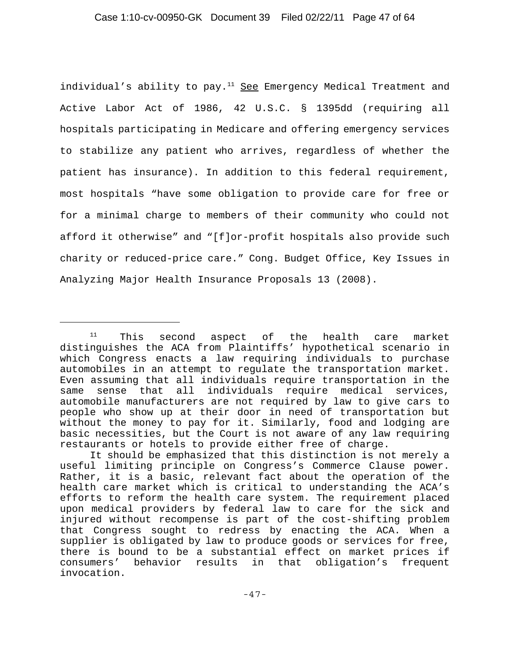individual's ability to pay. $11$  See Emergency Medical Treatment and Active Labor Act of 1986, 42 U.S.C. § 1395dd (requiring all hospitals participating in Medicare and offering emergency services to stabilize any patient who arrives, regardless of whether the patient has insurance). In addition to this federal requirement, most hospitals "have some obligation to provide care for free or for a minimal charge to members of their community who could not afford it otherwise" and "[f]or-profit hospitals also provide such charity or reduced-price care." Cong. Budget Office, Key Issues in Analyzing Major Health Insurance Proposals 13 (2008).

 $11$  This second aspect of the health care market distinguishes the ACA from Plaintiffs' hypothetical scenario in which Congress enacts a law requiring individuals to purchase automobiles in an attempt to regulate the transportation market. Even assuming that all individuals require transportation in the same sense that all individuals require medical services, automobile manufacturers are not required by law to give cars to people who show up at their door in need of transportation but without the money to pay for it. Similarly, food and lodging are basic necessities, but the Court is not aware of any law requiring restaurants or hotels to provide either free of charge.

It should be emphasized that this distinction is not merely a useful limiting principle on Congress's Commerce Clause power. Rather, it is a basic, relevant fact about the operation of the health care market which is critical to understanding the ACA's efforts to reform the health care system. The requirement placed upon medical providers by federal law to care for the sick and injured without recompense is part of the cost-shifting problem that Congress sought to redress by enacting the ACA. When a supplier is obligated by law to produce goods or services for free, there is bound to be a substantial effect on market prices if consumers' behavior results in that obligation's frequent invocation.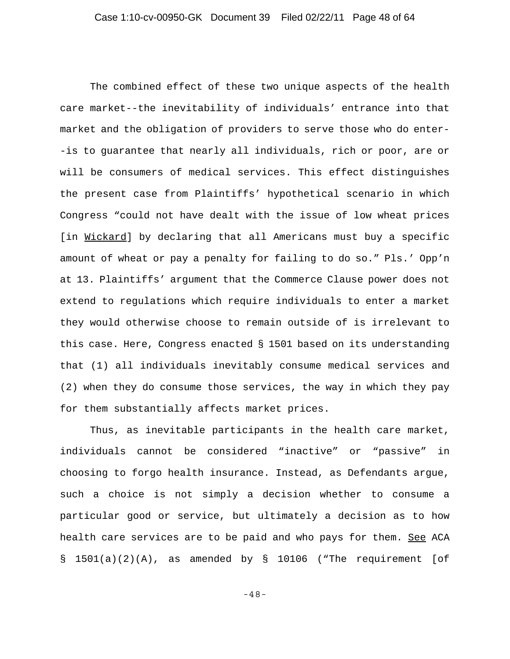The combined effect of these two unique aspects of the health care market--the inevitability of individuals' entrance into that market and the obligation of providers to serve those who do enter- -is to guarantee that nearly all individuals, rich or poor, are or will be consumers of medical services. This effect distinguishes the present case from Plaintiffs' hypothetical scenario in which Congress "could not have dealt with the issue of low wheat prices [in Wickard] by declaring that all Americans must buy a specific amount of wheat or pay a penalty for failing to do so." Pls.' Opp'n at 13. Plaintiffs' argument that the Commerce Clause power does not extend to regulations which require individuals to enter a market they would otherwise choose to remain outside of is irrelevant to this case. Here, Congress enacted § 1501 based on its understanding that (1) all individuals inevitably consume medical services and (2) when they do consume those services, the way in which they pay for them substantially affects market prices.

Thus, as inevitable participants in the health care market, individuals cannot be considered "inactive" or "passive" in choosing to forgo health insurance. Instead, as Defendants argue, such a choice is not simply a decision whether to consume a particular good or service, but ultimately a decision as to how health care services are to be paid and who pays for them. See ACA § 1501(a)(2)(A), as amended by § 10106 ("The requirement [of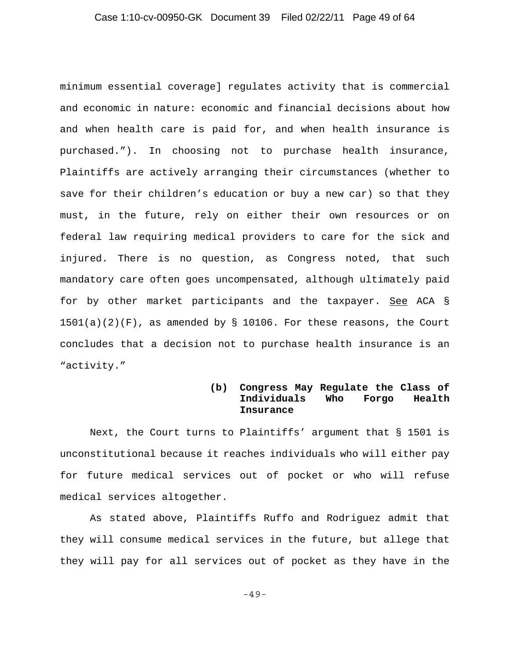### Case 1:10-cv-00950-GK Document 39 Filed 02/22/11 Page 49 of 64

minimum essential coverage] regulates activity that is commercial and economic in nature: economic and financial decisions about how and when health care is paid for, and when health insurance is purchased."). In choosing not to purchase health insurance, Plaintiffs are actively arranging their circumstances (whether to save for their children's education or buy a new car) so that they must, in the future, rely on either their own resources or on federal law requiring medical providers to care for the sick and injured. There is no question, as Congress noted, that such mandatory care often goes uncompensated, although ultimately paid for by other market participants and the taxpayer. See ACA §  $1501(a)(2)(F)$ , as amended by § 10106. For these reasons, the Court concludes that a decision not to purchase health insurance is an "activity."

## **(b) Congress May Regulate the Class of Individuals Who Forgo Health Insurance**

Next, the Court turns to Plaintiffs' argument that § 1501 is unconstitutional because it reaches individuals who will either pay for future medical services out of pocket or who will refuse medical services altogether.

As stated above, Plaintiffs Ruffo and Rodriguez admit that they will consume medical services in the future, but allege that they will pay for all services out of pocket as they have in the

-49-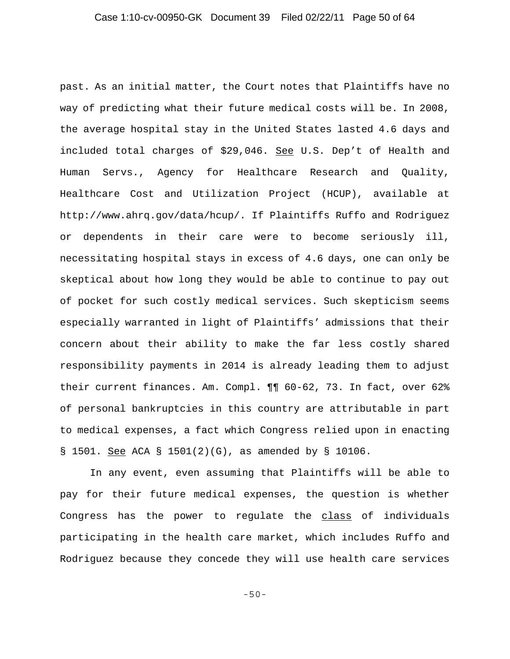past. As an initial matter, the Court notes that Plaintiffs have no way of predicting what their future medical costs will be. In 2008, the average hospital stay in the United States lasted 4.6 days and included total charges of \$29,046. See U.S. Dep't of Health and Human Servs., Agency for Healthcare Research and Quality, Healthcare Cost and Utilization Project (HCUP), available at http://www.ahrq.gov/data/hcup/. If Plaintiffs Ruffo and Rodriguez or dependents in their care were to become seriously ill, necessitating hospital stays in excess of 4.6 days, one can only be skeptical about how long they would be able to continue to pay out of pocket for such costly medical services. Such skepticism seems especially warranted in light of Plaintiffs' admissions that their concern about their ability to make the far less costly shared responsibility payments in 2014 is already leading them to adjust their current finances. Am. Compl. ¶¶ 60-62, 73. In fact, over 62% of personal bankruptcies in this country are attributable in part to medical expenses, a fact which Congress relied upon in enacting § 1501. See ACA § 1501(2)(G), as amended by § 10106.

In any event, even assuming that Plaintiffs will be able to pay for their future medical expenses, the question is whether Congress has the power to regulate the class of individuals participating in the health care market, which includes Ruffo and Rodriguez because they concede they will use health care services

-50-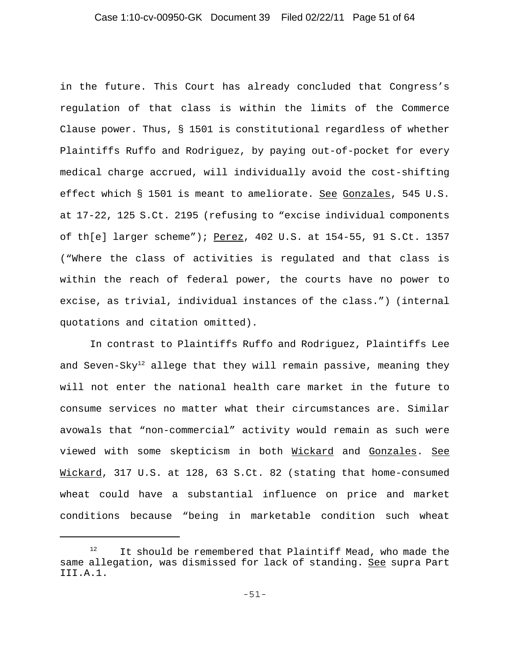### Case 1:10-cv-00950-GK Document 39 Filed 02/22/11 Page 51 of 64

in the future. This Court has already concluded that Congress's regulation of that class is within the limits of the Commerce Clause power. Thus, § 1501 is constitutional regardless of whether Plaintiffs Ruffo and Rodriguez, by paying out-of-pocket for every medical charge accrued, will individually avoid the cost-shifting effect which § 1501 is meant to ameliorate. See Gonzales, 545 U.S. at 17-22, 125 S.Ct. 2195 (refusing to "excise individual components of th[e] larger scheme"); Perez, 402 U.S. at 154-55, 91 S.Ct. 1357 ("Where the class of activities is regulated and that class is within the reach of federal power, the courts have no power to excise, as trivial, individual instances of the class.") (internal quotations and citation omitted).

In contrast to Plaintiffs Ruffo and Rodriguez, Plaintiffs Lee and Seven-Sky<sup>12</sup> allege that they will remain passive, meaning they will not enter the national health care market in the future to consume services no matter what their circumstances are. Similar avowals that "non-commercial" activity would remain as such were viewed with some skepticism in both Nickard and Gonzales. See Wickard, 317 U.S. at 128, 63 S.Ct. 82 (stating that home-consumed wheat could have a substantial influence on price and market conditions because "being in marketable condition such wheat

 $12$  It should be remembered that Plaintiff Mead, who made the same allegation, was dismissed for lack of standing. See supra Part III.A.1.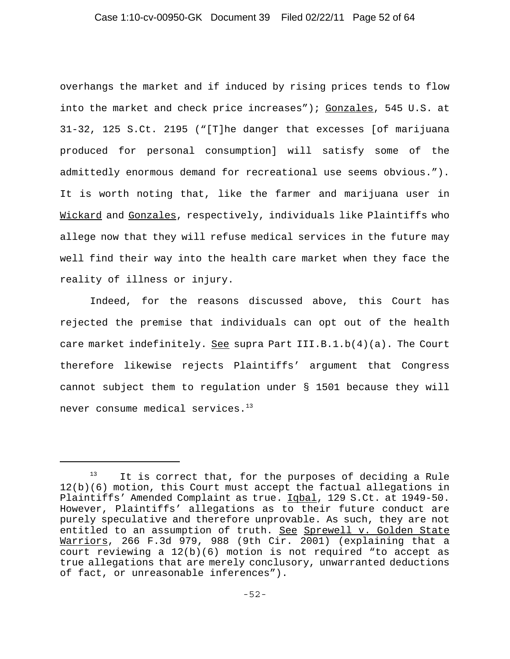### Case 1:10-cv-00950-GK Document 39 Filed 02/22/11 Page 52 of 64

overhangs the market and if induced by rising prices tends to flow into the market and check price increases"); Gonzales, 545 U.S. at 31-32, 125 S.Ct. 2195 ("[T]he danger that excesses [of marijuana produced for personal consumption] will satisfy some of the admittedly enormous demand for recreational use seems obvious."). It is worth noting that, like the farmer and marijuana user in Wickard and Gonzales, respectively, individuals like Plaintiffs who allege now that they will refuse medical services in the future may well find their way into the health care market when they face the reality of illness or injury.

Indeed, for the reasons discussed above, this Court has rejected the premise that individuals can opt out of the health care market indefinitely. See supra Part III.B.1.b(4)(a). The Court therefore likewise rejects Plaintiffs' argument that Congress cannot subject them to regulation under § 1501 because they will never consume medical services. $13$ 

It is correct that, for the purposes of deciding a Rule 12(b)(6) motion, this Court must accept the factual allegations in Plaintiffs' Amended Complaint as true. Iqbal, 129 S.Ct. at 1949-50. However, Plaintiffs' allegations as to their future conduct are purely speculative and therefore unprovable. As such, they are not entitled to an assumption of truth. See Sprewell v. Golden State Warriors, 266 F.3d 979, 988 (9th Cir. 2001) (explaining that a court reviewing a  $12(b)(6)$  motion is not required "to accept as true allegations that are merely conclusory, unwarranted deductions of fact, or unreasonable inferences").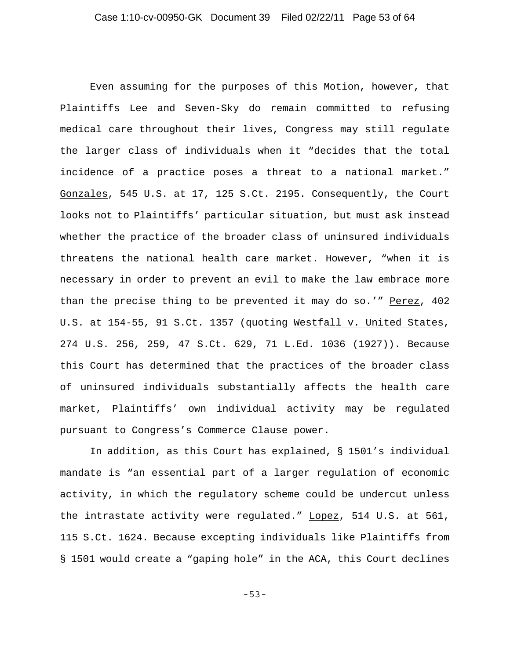Even assuming for the purposes of this Motion, however, that Plaintiffs Lee and Seven-Sky do remain committed to refusing medical care throughout their lives, Congress may still regulate the larger class of individuals when it "decides that the total incidence of a practice poses a threat to a national market." Gonzales, 545 U.S. at 17, 125 S.Ct. 2195. Consequently, the Court looks not to Plaintiffs' particular situation, but must ask instead whether the practice of the broader class of uninsured individuals threatens the national health care market. However, "when it is necessary in order to prevent an evil to make the law embrace more than the precise thing to be prevented it may do so.'" Perez, 402 U.S. at 154-55, 91 S.Ct. 1357 (quoting Westfall v. United States, 274 U.S. 256, 259, 47 S.Ct. 629, 71 L.Ed. 1036 (1927)). Because this Court has determined that the practices of the broader class of uninsured individuals substantially affects the health care market, Plaintiffs' own individual activity may be regulated pursuant to Congress's Commerce Clause power.

In addition, as this Court has explained, § 1501's individual mandate is "an essential part of a larger regulation of economic activity, in which the regulatory scheme could be undercut unless the intrastate activity were regulated." Lopez, 514 U.S. at 561, 115 S.Ct. 1624. Because excepting individuals like Plaintiffs from § 1501 would create a "gaping hole" in the ACA, this Court declines

-53-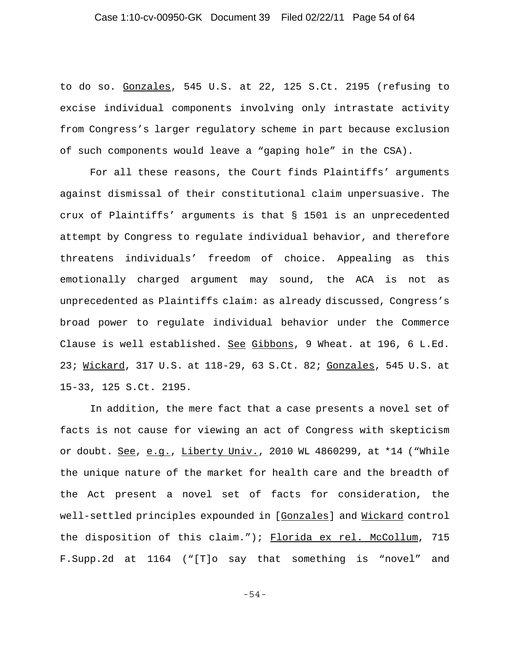### Case 1:10-cv-00950-GK Document 39 Filed 02/22/11 Page 54 of 64

to do so. Gonzales, 545 U.S. at 22, 125 S.Ct. 2195 (refusing to excise individual components involving only intrastate activity from Congress's larger regulatory scheme in part because exclusion of such components would leave a "gaping hole" in the CSA).

For all these reasons, the Court finds Plaintiffs' arguments against dismissal of their constitutional claim unpersuasive. The crux of Plaintiffs' arguments is that § 1501 is an unprecedented attempt by Congress to regulate individual behavior, and therefore threatens individuals' freedom of choice. Appealing as this emotionally charged argument may sound, the ACA is not as unprecedented as Plaintiffs claim: as already discussed, Congress's broad power to regulate individual behavior under the Commerce Clause is well established. See Gibbons, 9 Wheat. at 196, 6 L.Ed. 23; Wickard, 317 U.S. at 118-29, 63 S.Ct. 82; Gonzales, 545 U.S. at 15-33, 125 S.Ct. 2195.

In addition, the mere fact that a case presents a novel set of facts is not cause for viewing an act of Congress with skepticism or doubt. See, e.g., Liberty Univ., 2010 WL 4860299, at \*14 ("While the unique nature of the market for health care and the breadth of the Act present a novel set of facts for consideration, the well-settled principles expounded in [Gonzales] and Wickard control the disposition of this claim."); Florida ex rel. McCollum, 715 F.Supp.2d at 1164 ("[T]o say that something is "novel" and

-54-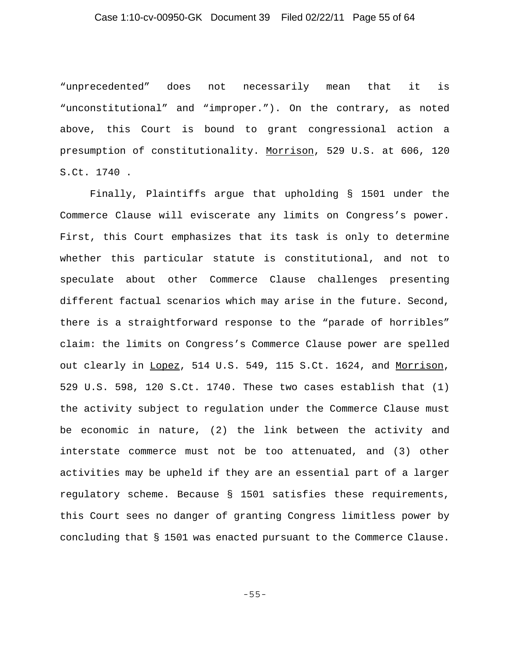# Case 1:10-cv-00950-GK Document 39 Filed 02/22/11 Page 55 of 64

"unprecedented" does not necessarily mean that it is "unconstitutional" and "improper."). On the contrary, as noted above, this Court is bound to grant congressional action a presumption of constitutionality. Morrison, 529 U.S. at 606, 120 S.Ct. 1740 .

Finally, Plaintiffs argue that upholding § 1501 under the Commerce Clause will eviscerate any limits on Congress's power. First, this Court emphasizes that its task is only to determine whether this particular statute is constitutional, and not to speculate about other Commerce Clause challenges presenting different factual scenarios which may arise in the future. Second, there is a straightforward response to the "parade of horribles" claim: the limits on Congress's Commerce Clause power are spelled out clearly in Lopez, 514 U.S. 549, 115 S.Ct. 1624, and Morrison, 529 U.S. 598, 120 S.Ct. 1740. These two cases establish that (1) the activity subject to regulation under the Commerce Clause must be economic in nature, (2) the link between the activity and interstate commerce must not be too attenuated, and (3) other activities may be upheld if they are an essential part of a larger regulatory scheme. Because § 1501 satisfies these requirements, this Court sees no danger of granting Congress limitless power by concluding that § 1501 was enacted pursuant to the Commerce Clause.

-55-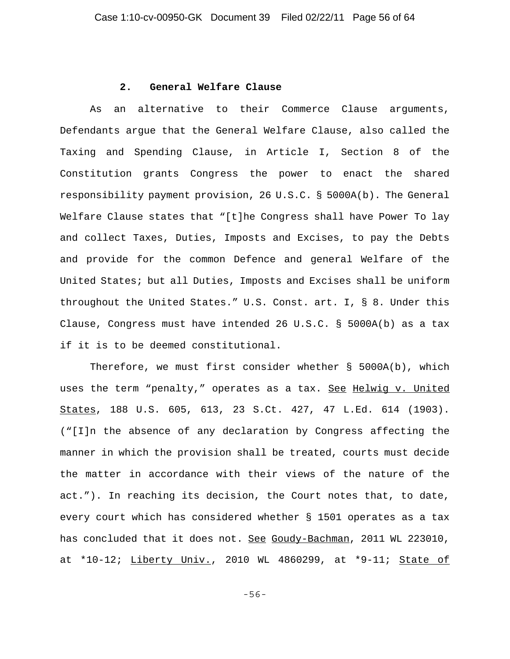#### **2. General Welfare Clause**

As an alternative to their Commerce Clause arguments, Defendants argue that the General Welfare Clause, also called the Taxing and Spending Clause, in Article I, Section 8 of the Constitution grants Congress the power to enact the shared responsibility payment provision, 26 U.S.C. § 5000A(b). The General Welfare Clause states that "[t]he Congress shall have Power To lay and collect Taxes, Duties, Imposts and Excises, to pay the Debts and provide for the common Defence and general Welfare of the United States; but all Duties, Imposts and Excises shall be uniform throughout the United States." U.S. Const. art. I, § 8. Under this Clause, Congress must have intended 26 U.S.C. § 5000A(b) as a tax if it is to be deemed constitutional.

Therefore, we must first consider whether § 5000A(b), which uses the term "penalty," operates as a tax. See Helwig v. United States, 188 U.S. 605, 613, 23 S.Ct. 427, 47 L.Ed. 614 (1903). ("[I]n the absence of any declaration by Congress affecting the manner in which the provision shall be treated, courts must decide the matter in accordance with their views of the nature of the act."). In reaching its decision, the Court notes that, to date, every court which has considered whether § 1501 operates as a tax has concluded that it does not. See Goudy-Bachman, 2011 WL 223010, at \*10-12; Liberty Univ., 2010 WL 4860299, at \*9-11; State of

-56-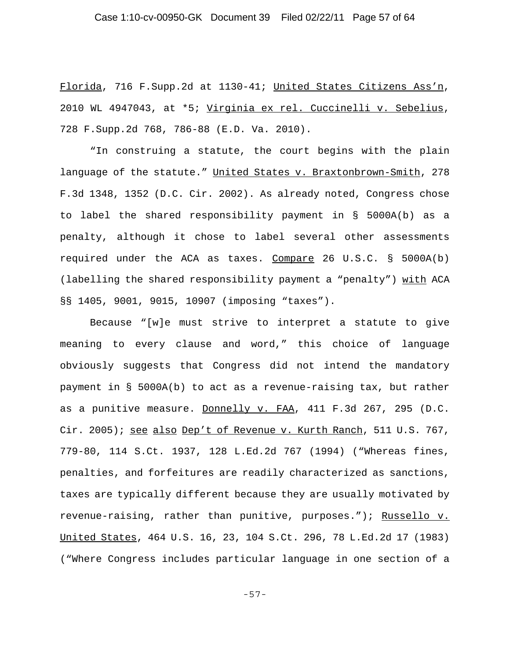### Case 1:10-cv-00950-GK Document 39 Filed 02/22/11 Page 57 of 64

Florida, 716 F.Supp.2d at 1130-41; United States Citizens Ass'n, 2010 WL 4947043, at \*5; Virginia ex rel. Cuccinelli v. Sebelius, 728 F.Supp.2d 768, 786-88 (E.D. Va. 2010).

"In construing a statute, the court begins with the plain language of the statute." United States v. Braxtonbrown-Smith, 278 F.3d 1348, 1352 (D.C. Cir. 2002). As already noted, Congress chose to label the shared responsibility payment in § 5000A(b) as a penalty, although it chose to label several other assessments required under the ACA as taxes. Compare 26 U.S.C.  $\S$  5000A(b) (labelling the shared responsibility payment a "penalty") with ACA §§ 1405, 9001, 9015, 10907 (imposing "taxes").

Because "[w]e must strive to interpret a statute to give meaning to every clause and word," this choice of language obviously suggests that Congress did not intend the mandatory payment in § 5000A(b) to act as a revenue-raising tax, but rather as a punitive measure. Donnelly v. FAA, 411 F.3d 267, 295 (D.C. Cir. 2005); see also Dep't of Revenue v. Kurth Ranch, 511 U.S. 767, 779-80, 114 S.Ct. 1937, 128 L.Ed.2d 767 (1994) ("Whereas fines, penalties, and forfeitures are readily characterized as sanctions, taxes are typically different because they are usually motivated by revenue-raising, rather than punitive, purposes."); Russello v. United States, 464 U.S. 16, 23, 104 S.Ct. 296, 78 L.Ed.2d 17 (1983) ("Where Congress includes particular language in one section of a

-57-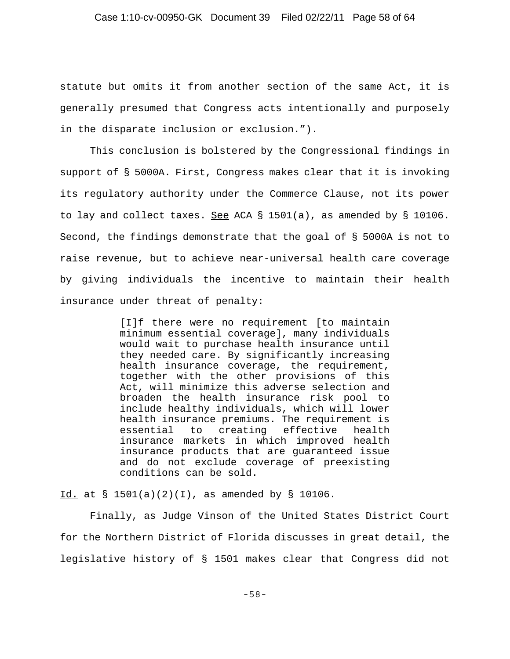statute but omits it from another section of the same Act, it is generally presumed that Congress acts intentionally and purposely in the disparate inclusion or exclusion.").

This conclusion is bolstered by the Congressional findings in support of § 5000A. First, Congress makes clear that it is invoking its regulatory authority under the Commerce Clause, not its power to lay and collect taxes. See ACA  $\S$  1501(a), as amended by  $\S$  10106. Second, the findings demonstrate that the goal of § 5000A is not to raise revenue, but to achieve near-universal health care coverage by giving individuals the incentive to maintain their health insurance under threat of penalty:

> [I]f there were no requirement [to maintain minimum essential coverage], many individuals would wait to purchase health insurance until they needed care. By significantly increasing health insurance coverage, the requirement, together with the other provisions of this Act, will minimize this adverse selection and broaden the health insurance risk pool to include healthy individuals, which will lower health insurance premiums. The requirement is essential to creating effective health insurance markets in which improved health insurance products that are guaranteed issue and do not exclude coverage of preexisting conditions can be sold.

Id. at § 1501(a)(2)(I), as amended by § 10106.

Finally, as Judge Vinson of the United States District Court for the Northern District of Florida discusses in great detail, the legislative history of § 1501 makes clear that Congress did not

-58-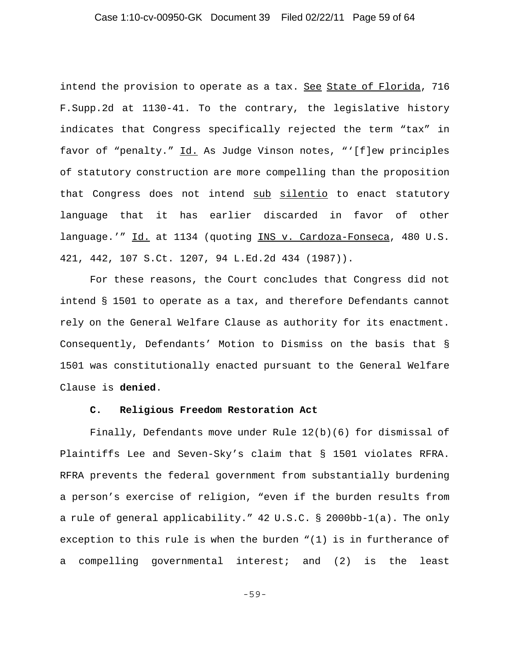intend the provision to operate as a tax. See State of Florida, 716 F.Supp.2d at 1130-41. To the contrary, the legislative history indicates that Congress specifically rejected the term "tax" in favor of "penalty." Id. As Judge Vinson notes, "'[f]ew principles of statutory construction are more compelling than the proposition that Congress does not intend sub silentio to enact statutory language that it has earlier discarded in favor of other language.'" Id. at 1134 (quoting INS v. Cardoza-Fonseca, 480 U.S. 421, 442, 107 S.Ct. 1207, 94 L.Ed.2d 434 (1987)).

For these reasons, the Court concludes that Congress did not intend § 1501 to operate as a tax, and therefore Defendants cannot rely on the General Welfare Clause as authority for its enactment. Consequently, Defendants' Motion to Dismiss on the basis that § 1501 was constitutionally enacted pursuant to the General Welfare Clause is **denied**.

#### **C. Religious Freedom Restoration Act**

Finally, Defendants move under Rule 12(b)(6) for dismissal of Plaintiffs Lee and Seven-Sky's claim that § 1501 violates RFRA. RFRA prevents the federal government from substantially burdening a person's exercise of religion, "even if the burden results from a rule of general applicability." 42 U.S.C. § 2000bb-1(a). The only exception to this rule is when the burden "(1) is in furtherance of a compelling governmental interest; and (2) is the least

-59-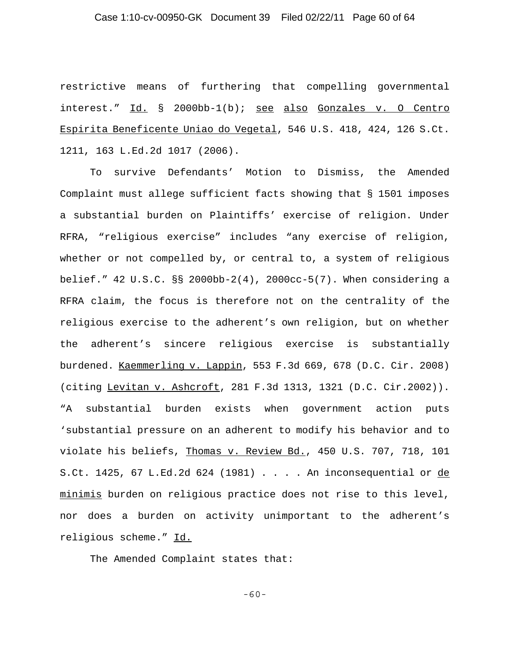### Case 1:10-cv-00950-GK Document 39 Filed 02/22/11 Page 60 of 64

restrictive means of furthering that compelling governmental interest." Id. § 2000bb-1(b); see also Gonzales v. O Centro Espirita Beneficente Uniao do Vegetal, 546 U.S. 418, 424, 126 S.Ct. 1211, 163 L.Ed.2d 1017 (2006).

To survive Defendants' Motion to Dismiss, the Amended Complaint must allege sufficient facts showing that § 1501 imposes a substantial burden on Plaintiffs' exercise of religion. Under RFRA, "religious exercise" includes "any exercise of religion, whether or not compelled by, or central to, a system of religious belief." 42 U.S.C. §§ 2000bb-2(4), 2000cc-5(7). When considering a RFRA claim, the focus is therefore not on the centrality of the religious exercise to the adherent's own religion, but on whether the adherent's sincere religious exercise is substantially burdened. Kaemmerling v. Lappin, 553 F.3d 669, 678 (D.C. Cir. 2008) (citing Levitan v. Ashcroft, 281 F.3d 1313, 1321 (D.C. Cir.2002)). "A substantial burden exists when government action puts 'substantial pressure on an adherent to modify his behavior and to violate his beliefs, Thomas v. Review Bd., 450 U.S. 707, 718, 101 S.Ct. 1425, 67 L.Ed.2d 624 (1981) . . . . An inconsequential or de minimis burden on religious practice does not rise to this level, nor does a burden on activity unimportant to the adherent's religious scheme." Id.

The Amended Complaint states that:

-60-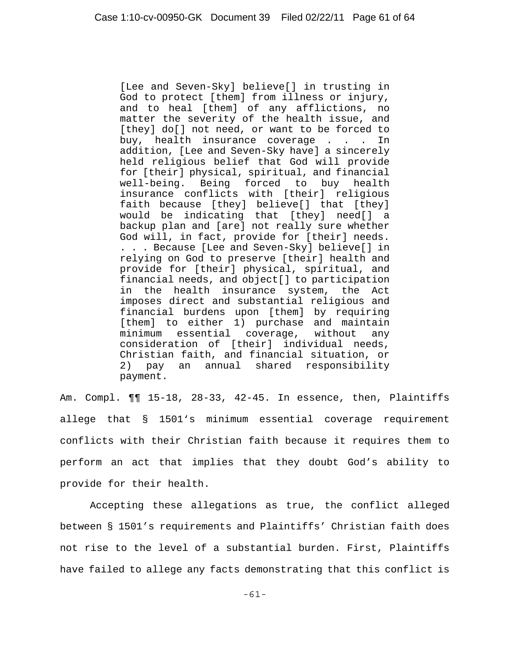[Lee and Seven-Sky] believe[] in trusting in God to protect [them] from illness or injury, and to heal [them] of any afflictions, no matter the severity of the health issue, and [they] do[] not need, or want to be forced to buy, health insurance coverage . . . In addition, [Lee and Seven-Sky have] a sincerely held religious belief that God will provide for [their] physical, spiritual, and financial well-being. Being forced to buy health insurance conflicts with [their] religious faith because [they] believe[] that [they] would be indicating that [they] need[] a backup plan and [are] not really sure whether God will, in fact, provide for [their] needs. . . . Because [Lee and Seven-Sky] believe[] in relying on God to preserve [their] health and provide for [their] physical, spiritual, and financial needs, and object[] to participation in the health insurance system, the Act imposes direct and substantial religious and financial burdens upon [them] by requiring [them] to either 1) purchase and maintain minimum essential coverage, without any consideration of [their] individual needs, Christian faith, and financial situation, or 2) pay an annual shared responsibility payment.

Am. Compl. ¶¶ 15-18, 28-33, 42-45. In essence, then, Plaintiffs allege that § 1501's minimum essential coverage requirement conflicts with their Christian faith because it requires them to perform an act that implies that they doubt God's ability to provide for their health.

Accepting these allegations as true, the conflict alleged between § 1501's requirements and Plaintiffs' Christian faith does not rise to the level of a substantial burden. First, Plaintiffs have failed to allege any facts demonstrating that this conflict is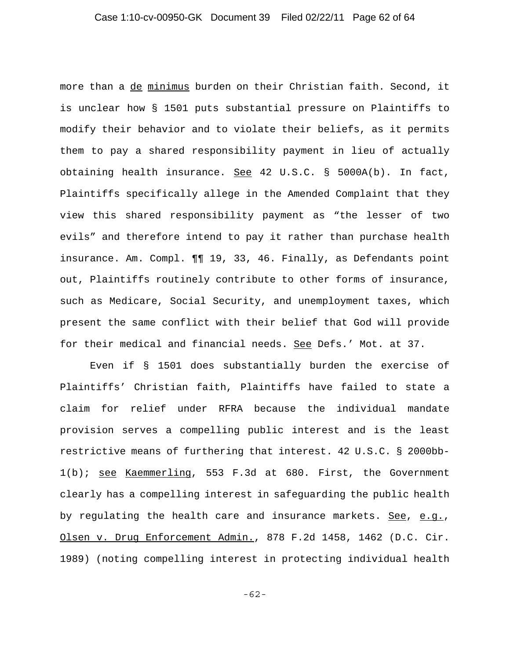more than a de minimus burden on their Christian faith. Second, it is unclear how § 1501 puts substantial pressure on Plaintiffs to modify their behavior and to violate their beliefs, as it permits them to pay a shared responsibility payment in lieu of actually obtaining health insurance. See 42 U.S.C. § 5000A(b). In fact, Plaintiffs specifically allege in the Amended Complaint that they view this shared responsibility payment as "the lesser of two evils" and therefore intend to pay it rather than purchase health insurance. Am. Compl. ¶¶ 19, 33, 46. Finally, as Defendants point out, Plaintiffs routinely contribute to other forms of insurance, such as Medicare, Social Security, and unemployment taxes, which present the same conflict with their belief that God will provide for their medical and financial needs. See Defs.' Mot. at 37.

Even if § 1501 does substantially burden the exercise of Plaintiffs' Christian faith, Plaintiffs have failed to state a claim for relief under RFRA because the individual mandate provision serves a compelling public interest and is the least restrictive means of furthering that interest. 42 U.S.C. § 2000bb-1(b); see Kaemmerling, 553 F.3d at 680. First, the Government clearly has a compelling interest in safeguarding the public health by regulating the health care and insurance markets. See, e.g., Olsen v. Drug Enforcement Admin., 878 F.2d 1458, 1462 (D.C. Cir. 1989) (noting compelling interest in protecting individual health

-62-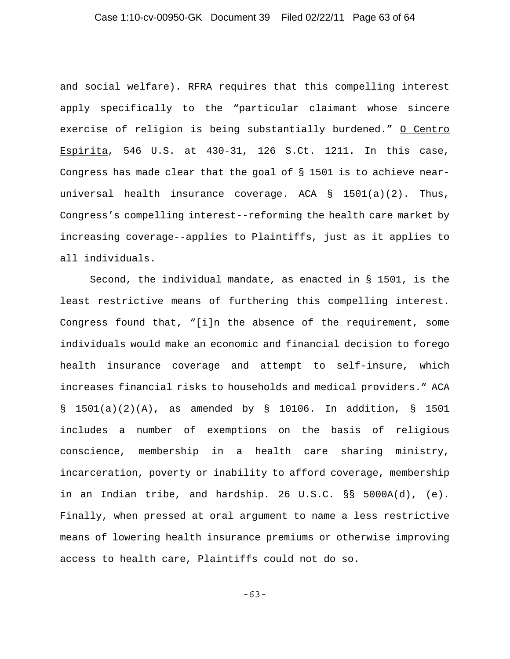### Case 1:10-cv-00950-GK Document 39 Filed 02/22/11 Page 63 of 64

and social welfare). RFRA requires that this compelling interest apply specifically to the "particular claimant whose sincere exercise of religion is being substantially burdened." O Centro Espirita, 546 U.S. at 430-31, 126 S.Ct. 1211. In this case, Congress has made clear that the goal of § 1501 is to achieve nearuniversal health insurance coverage. ACA  $\S$  1501(a)(2). Thus, Congress's compelling interest--reforming the health care market by increasing coverage--applies to Plaintiffs, just as it applies to all individuals.

Second, the individual mandate, as enacted in § 1501, is the least restrictive means of furthering this compelling interest. Congress found that, "[i]n the absence of the requirement, some individuals would make an economic and financial decision to forego health insurance coverage and attempt to self-insure, which increases financial risks to households and medical providers." ACA § 1501(a)(2)(A), as amended by § 10106. In addition, § 1501 includes a number of exemptions on the basis of religious conscience, membership in a health care sharing ministry, incarceration, poverty or inability to afford coverage, membership in an Indian tribe, and hardship. 26 U.S.C. §§ 5000A(d), (e). Finally, when pressed at oral argument to name a less restrictive means of lowering health insurance premiums or otherwise improving access to health care, Plaintiffs could not do so.

-63-